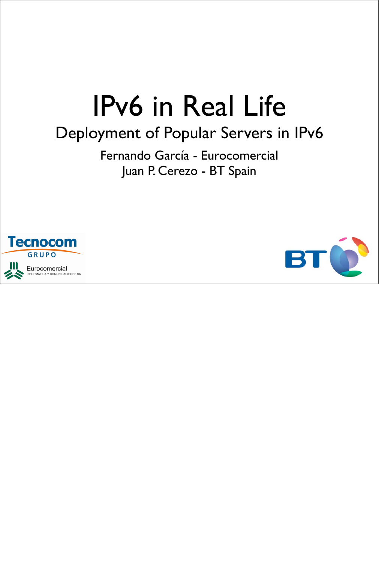### IPv6 in Real Life

#### Deployment of Popular Servers in IPv6

Fernando García - Eurocomercial Juan P. Cerezo - BT Spain



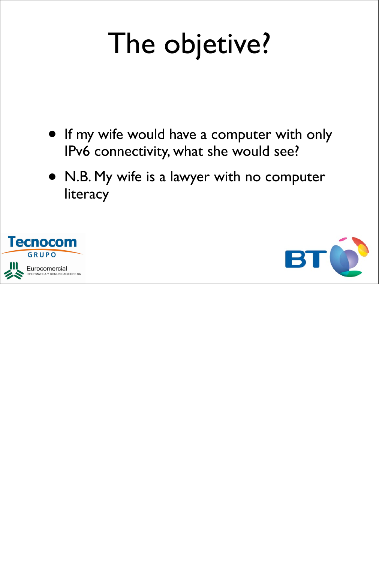## The objetive?

- If my wife would have a computer with only IPv6 connectivity, what she would see?
- N.B. My wife is a lawyer with no computer literacy



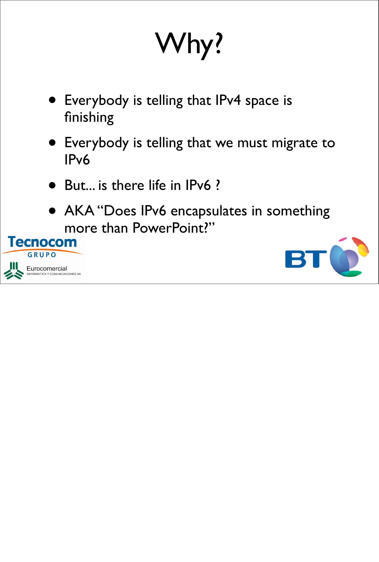## Why?

- Everybody is telling that IPv4 space is finishing
- Everybody is telling that we must migrate to IPv6
- But... is there life in IPv6 ?
- AKA "Does IPv6 encapsulates in something more than PowerPoint?"



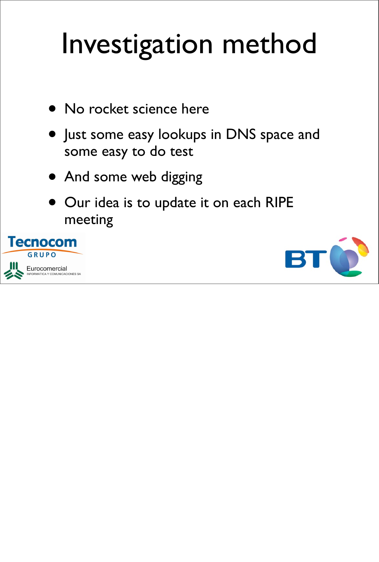## Investigation method

- No rocket science here
- Just some easy lookups in DNS space and some easy to do test
- And some web digging
- Our idea is to update it on each RIPE meeting



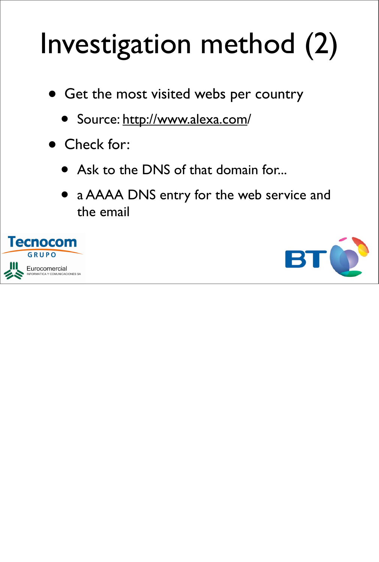## Investigation method (2)

- Get the most visited webs per country
	- Source: http://www.alexa.com/
- Check for:
	- Ask to the DNS of that domain for...
	- a AAAA DNS entry for the web service and the email



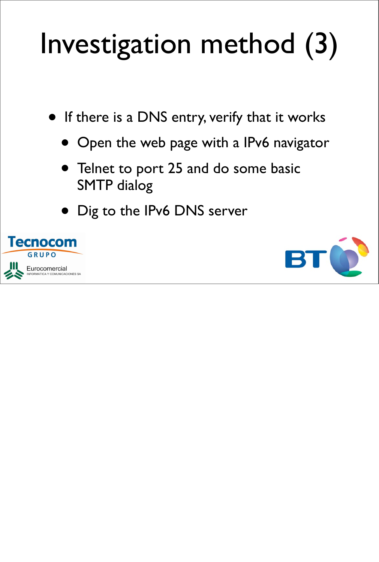## Investigation method (3)

- If there is a DNS entry, verify that it works
	- Open the web page with a IPv6 navigator
	- Telnet to port 25 and do some basic SMTP dialog
	- Dig to the IPv6 DNS server



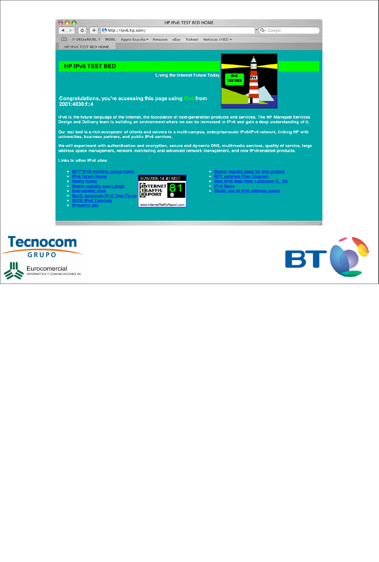



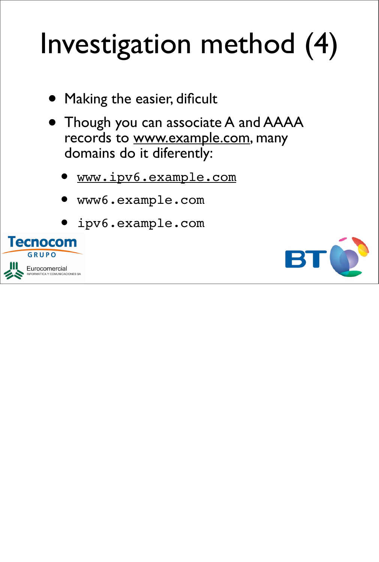## Investigation method (4)

- Making the easier, dificult
- Though you can associate A and AAAA records to www.example.com, many domains do it diferently:
	- www.ipv6.example.com
	- www6.example.com
	- ipv6.example.com



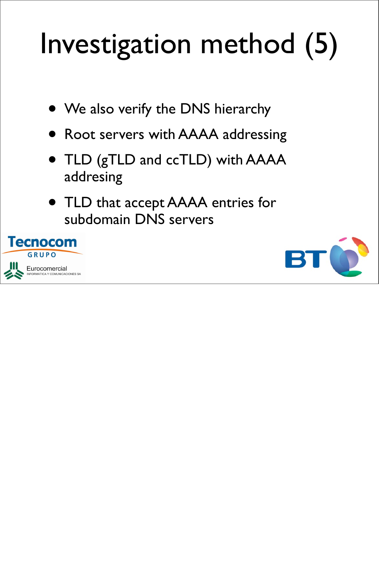## Investigation method (5)

- We also verify the DNS hierarchy
- Root servers with AAAA addressing
- TLD (gTLD and ccTLD) with AAAA addresing
- TLD that accept AAAA entries for subdomain DNS servers



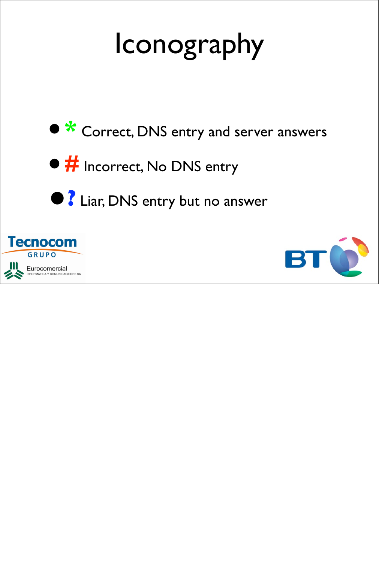## Iconography





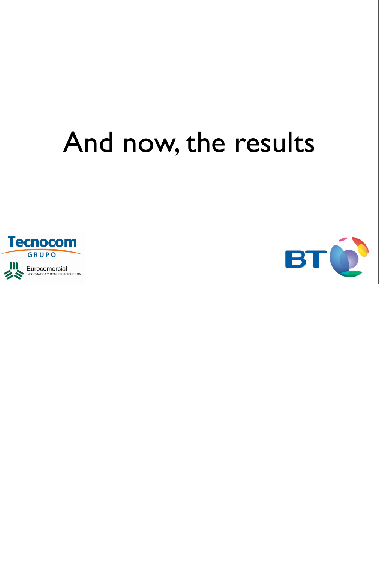## And now, the results



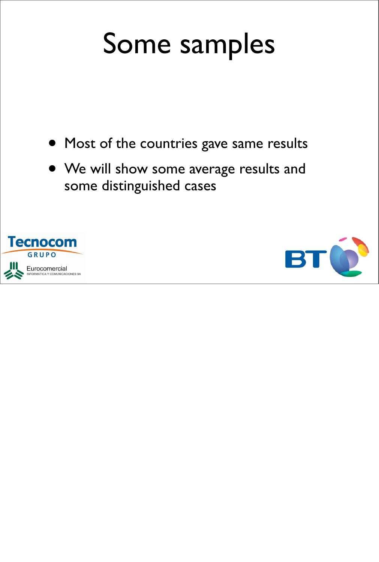### Some samples

- Most of the countries gave same results
- We will show some average results and some distinguished cases



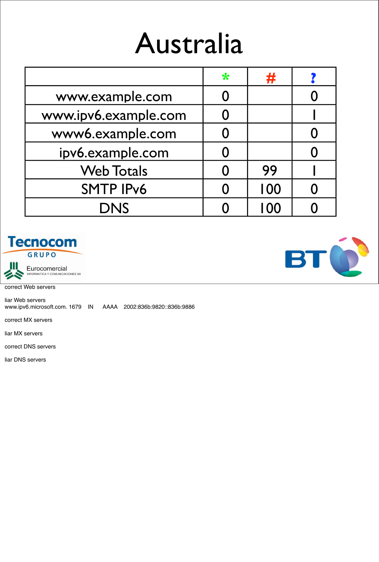### Australia

|                      | $\ast$ | 77   |  |
|----------------------|--------|------|--|
| www.example.com      |        |      |  |
| www.ipv6.example.com |        |      |  |
| www6.example.com     |        |      |  |
| ipv6.example.com     |        |      |  |
| <b>Web Totals</b>    |        | 99   |  |
| <b>SMTP IPv6</b>     |        | 100  |  |
| <b>DNS</b>           |        | I 00 |  |





correct Web servers

liar Web servers www.ipv6.microsoft.com. 1679 IN AAAA 2002:836b:9820::836b:9886

correct MX servers

liar MX servers

correct DNS servers

liar DNS servers

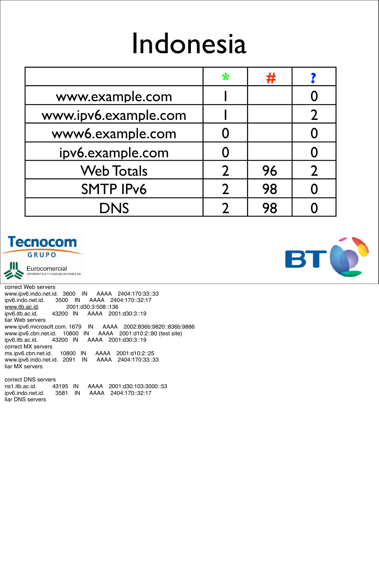#### Indonesia

|                      | $\ast$        | #  |  |
|----------------------|---------------|----|--|
| www.example.com      |               |    |  |
| www.ipv6.example.com |               |    |  |
| www6.example.com     |               |    |  |
| ipv6.example.com     |               |    |  |
| <b>Web Totals</b>    |               | 96 |  |
| <b>SMTP IPv6</b>     | $\mathcal{D}$ | 98 |  |
| <b>DNS</b>           |               | 98 |  |

#### **Tecnocom**

GRUPO



Eurocomercial **NFORMATICA Y COMUNICACIONES SA** 

correct Web servers www.ipv6.indo.net.id. 3600 IN AAAA 2404:170:33::33 ipv6.indo.net.id. 3500 IN AAAA 2404:170::32:17 www.itb.ac.id. 2001:d30:3:508::136 ipv6.itb.ac.id. 43200 IN AAAA 2001:d30:3::19 liar Web servers www.ipv6.microsoft.com. 1679 IN AAAA 2002:836b:9820::836b:9886 www.ipv6.cbn.net.id. 10800 IN AAAA 2001:d10:2::80 (test site) ipv6.itb.ac.id. 43200 IN AAAA 2001:d30:3::19 correct MX servers mx.ipv6.cbn.net.id. 10800 IN AAAA 2001:d10:2::25 www.ipv6.indo.net.id. 2091 IN AAAA 2404:170:33::33 liar MX servers

correct DNS servers ns1.itb.ac.id. 43195 IN AAAA 2001:d30:103:3000::53 ipv6.indo.net.id. 3581 IN AAAA 2404:170::32:17 liar DNS servers

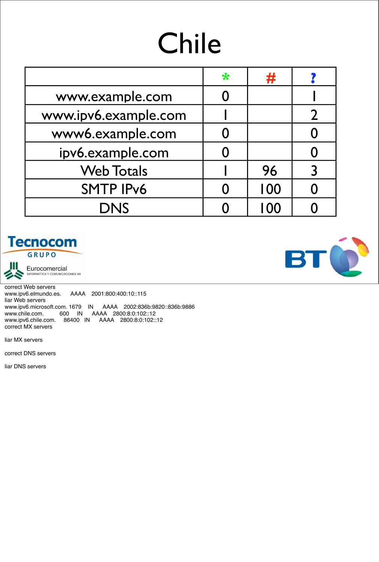## Chile

|                      | $\ast$ | 77  |  |
|----------------------|--------|-----|--|
| www.example.com      |        |     |  |
| www.ipv6.example.com |        |     |  |
| www6.example.com     |        |     |  |
| ipv6.example.com     |        |     |  |
| <b>Web Totals</b>    |        | 96  |  |
| <b>SMTP IPv6</b>     |        | 100 |  |
| <b>DNS</b>           |        | 100 |  |

#### **Tecnocom** GRUPO



Eurocomercial<br>INFORMATICA Y COMUNICACIONES SA

correct Web servers www.ipv6.elmundo.es. AAAA 2001:800:400:10::115 liar Web servers www.ipv6.microsoft.com. 1679 IN AAAA 2002:836b:9820::836b:9886 www.chile.com. 600 IN AAAA 2800:8:0:102::12 www.ipv6.chile.com. 86400 IN AAAA 2800:8:0:102::12 correct MX servers

liar MX servers

correct DNS servers

liar DNS servers

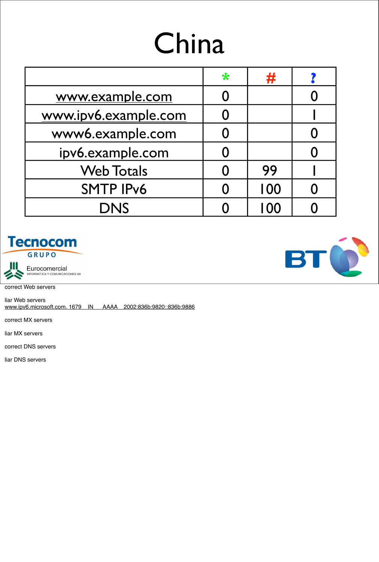## China

|                      | $\ast$ | #    |  |
|----------------------|--------|------|--|
| www.example.com      |        |      |  |
| www.ipv6.example.com |        |      |  |
| www6.example.com     |        |      |  |
| ipv6.example.com     |        |      |  |
| <b>Web Totals</b>    |        | 99   |  |
| <b>SMTP IPv6</b>     |        | 100  |  |
| <b>DNS</b>           |        | I 00 |  |





correct Web servers

liar Web servers www.ipv6.microsoft.com. 1679 IN AAAA 2002:836b:9820::836b:9886

correct MX servers

liar MX servers

correct DNS servers

liar DNS servers

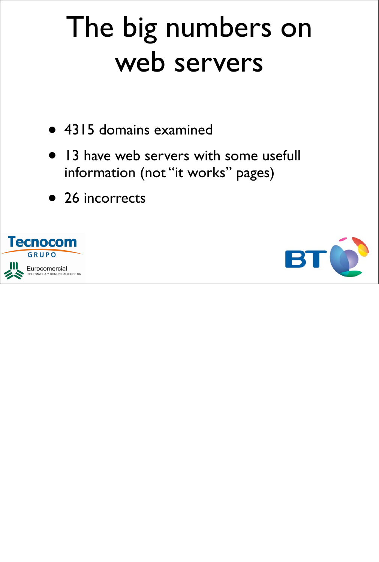### The big numbers on web servers

- 4315 domains examined
- 13 have web servers with some usefull information (not "it works" pages)
- 26 incorrects



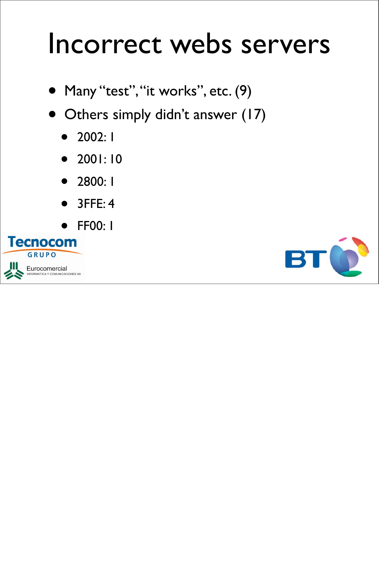#### Incorrect webs servers

- Many "test", "it works", etc. (9)
- Others simply didn't answer (17)
	- 2002: 1
	- 2001: 10
	- 2800: 1
	- 3FFE: 4
	-



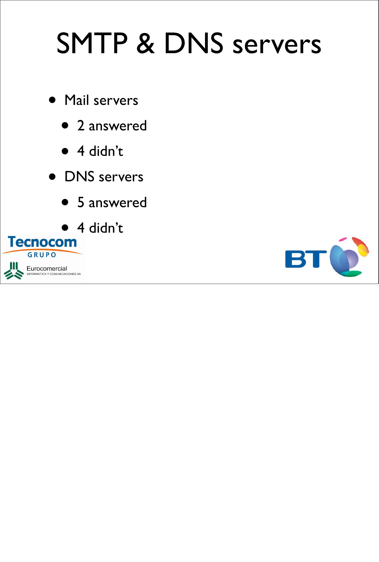## SMTP & DNS servers

- Mail servers
	- 2 answered
	- 4 didn't
- DNS servers
	- 5 answered



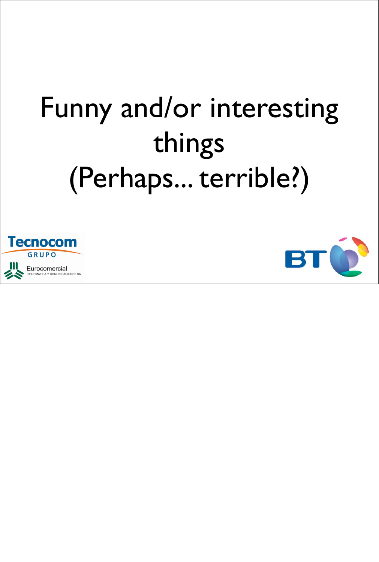## Funny and/or interesting things (Perhaps... terrible?)



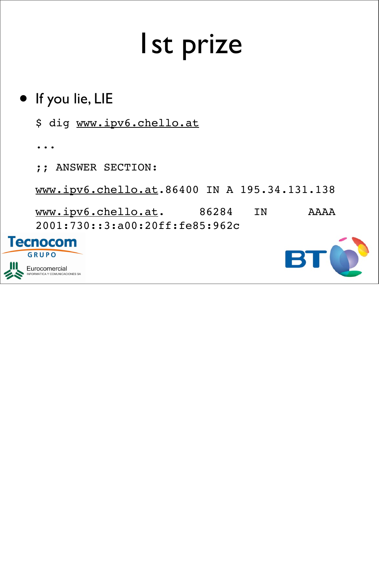### 1st prize

#### • If you lie, LIE

\$ dig www.ipv6.chello.at

...

;; ANSWER SECTION:

www.ipv6.chello.at.86400 IN A 195.34.131.138

www.ipv6.chello.at. 86284 IN AAAA 2001:730::3:a00:20ff:fe85:962c



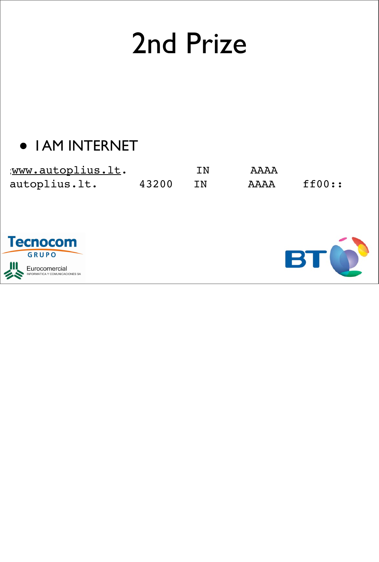### 2nd Prize

#### • I AM INTERNET

| www.autoplius.lt. |       | IN | AAAA |                            |
|-------------------|-------|----|------|----------------------------|
| autoplius.lt.     | 43200 | TN | AAAA | $\texttt{ff00}:\texttt{}:$ |



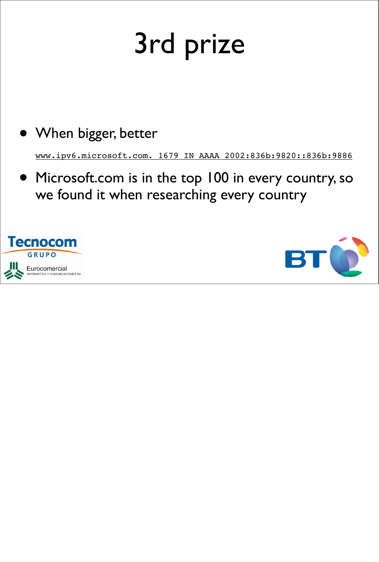## 3rd prize

#### • When bigger, better

www.ipv6.microsoft.com. 1679 IN AAAA 2002:836b:9820::836b:9886

• Microsoft.com is in the top 100 in every country, so we found it when researching every country



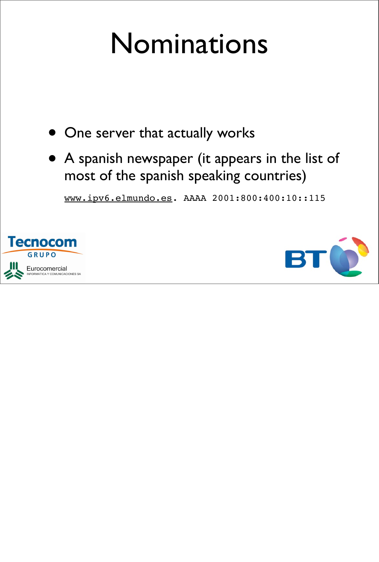### Nominations

- One server that actually works
- A spanish newspaper (it appears in the list of most of the spanish speaking countries)

www.ipv6.elmundo.es. AAAA 2001:800:400:10::115



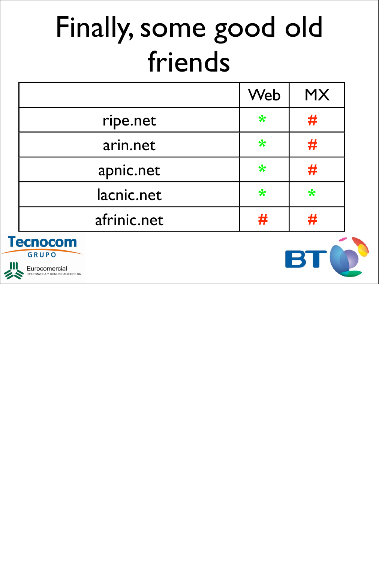## Finally, some good old friends

|             | Web    | <b>MX</b> |
|-------------|--------|-----------|
| ripe.net    | $\ast$ | #         |
| arin.net    | $\ast$ | #         |
| apnic.net   | $\ast$ | #         |
| lacnic.net  | $\ast$ | $\ast$    |
| afrinic.net | #      | #         |
|             |        |           |





Eurocomercial **INICACIONES SA** 

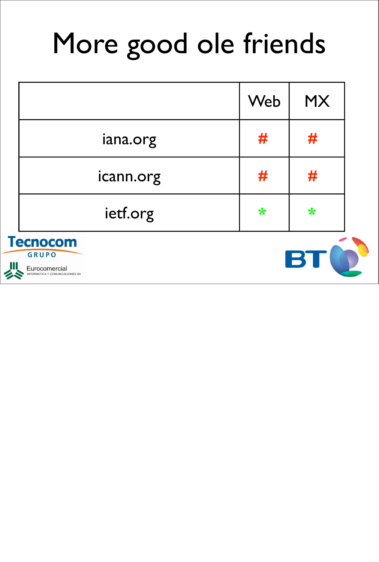## More good ole friends

|                                 | Web        | <b>MX</b> |
|---------------------------------|------------|-----------|
| iana.org                        | #          | #         |
| icann.org                       | #          | #         |
| ietf.org                        | $\bigstar$ | *         |
| <b>Fecnocom</b><br><b>GRUPO</b> |            |           |



Eurocomercial OMUNICACIONES SA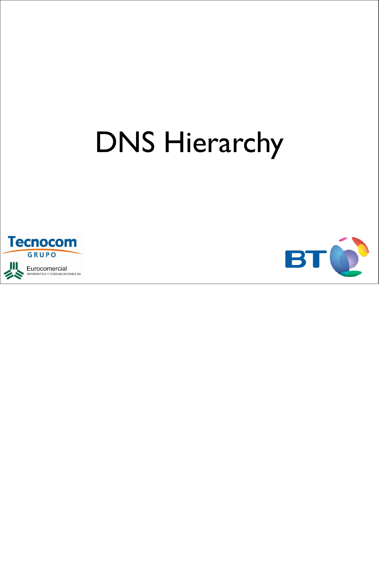## DNS Hierarchy



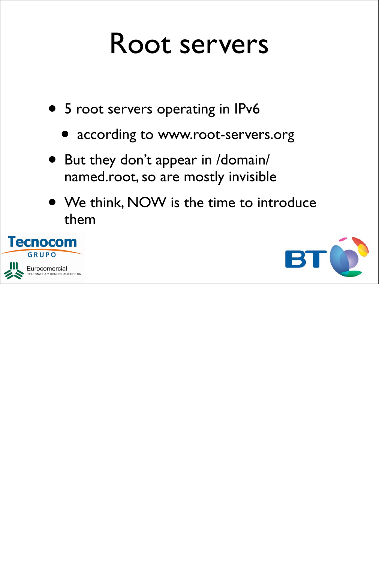#### Root servers

- 5 root servers operating in IPv6
	- according to www.root-servers.org
- But they don't appear in /domain/ named.root, so are mostly invisible
- We think, NOW is the time to introduce them



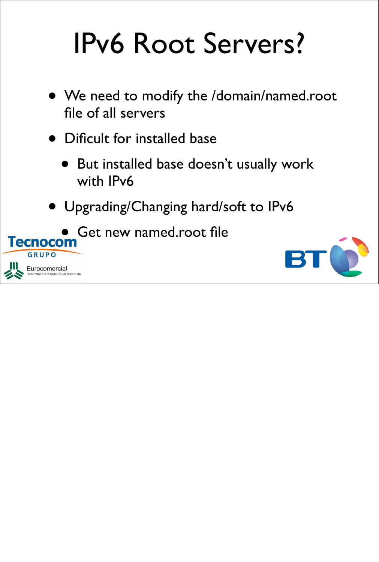## IPv6 Root Servers?

- We need to modify the /domain/named.root file of all servers
- Dificult for installed base
	- But installed base doesn't usually work with IPv6
- Upgrading/Changing hard/soft to IPv6

Get new named.root file





GRUPO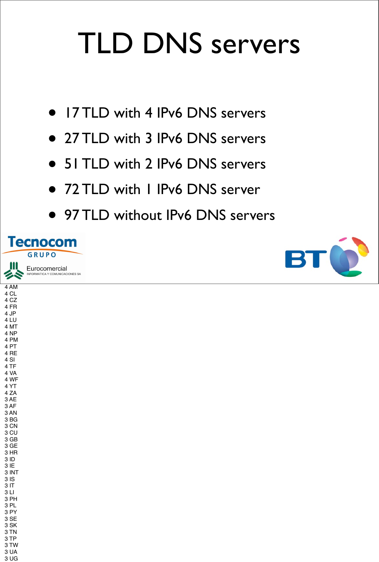## TLD DNS servers

- 17 TLD with 4 IPv6 DNS servers
- 27 TLD with 3 IPv6 DNS servers
- 51 TLD with 2 IPv6 DNS servers
- 72 TLD with 1 IPv6 DNS server
- 97 TLD without IPv6 DNS servers



4 AM 4 CL 4 CZ 4 FR 4 JP 4 LU 4 MT 4 NP 4 PM 4 PT 4 RE 4 SI 4 TF 4 VA 4 WF 4 YT 4 ZA 3 AE 3 AF 3 AN 3 BG



3 CN 3 CU 3 GB 3 GE 3 HR 3 ID 3 IE 3 INT 3 IS 3 IT 3 LI 3 PH 3 PL 3 PY 3 SE 3 SK 3 TN 3 TP 3 TW 3 UA 3 UG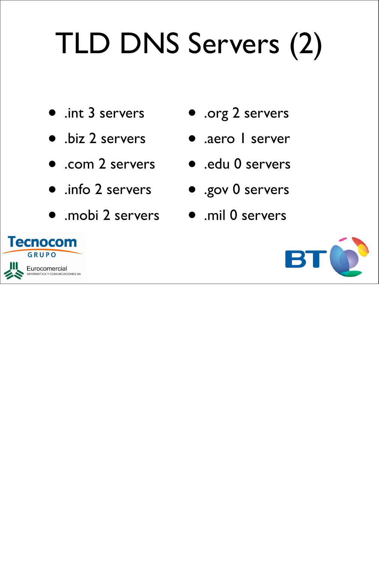# TLD DNS Servers (2)

- .int 3 servers
- .biz 2 servers
- .com 2 servers
- .info 2 servers
- .mobi 2 servers .mil 0 servers
- .org 2 servers
- .aero I server
- .edu 0 servers
	- .gov 0 servers
	-



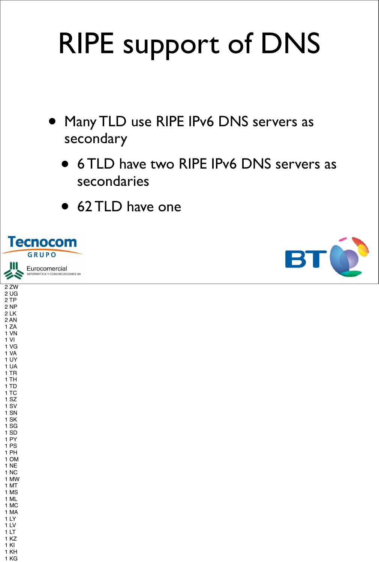## RIPE support of DNS

- Many TLD use RIPE IPv6 DNS servers as secondary
	- 6 TLD have two RIPE IPv6 DNS servers as secondaries
	- 62 TLD have one





2 ZW 2 UG 2 TP 2 NP 2 LK 2 AN 1 ZA 1 VN 1 VI 1 VG 1 VA 1 UY 1 UA 1 TR 1 TH 1 TD 1 TC 1 SZ 1 SV 1 SN 1 SK

Eurocomercial **DMUNICACIONES SA** 



1 SG 1 SD 1 PY 1 PS 1 PH 1 OM 1 NE 1 NC 1 MW 1 MT 1 MS 1 ML 1 MC 1 MA 1 LY 1 LV 1 LT 1 KZ 1 KI 1 KH 1 KG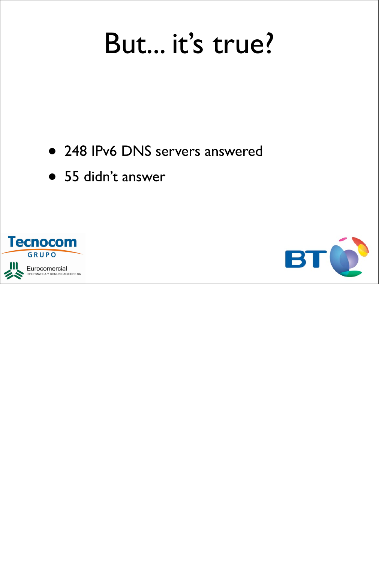#### But... it's true?

- 248 IPv6 DNS servers answered
- 55 didn't answer



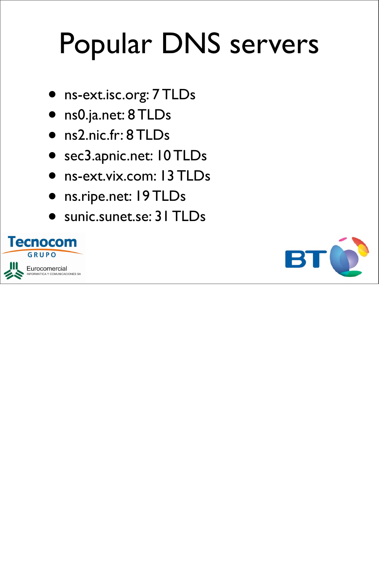## Popular DNS servers

- ns-ext.isc.org: 7 TLDs
- ns0.ja.net: 8 TLDs
- ns2.nic.fr: 8 TLDs
- sec3.apnic.net: 10 TLDs
- ns-ext.vix.com: 13 TLDs
- ns.ripe.net: 19 TLDs
- sunic.sunet.se: 31 TLDs



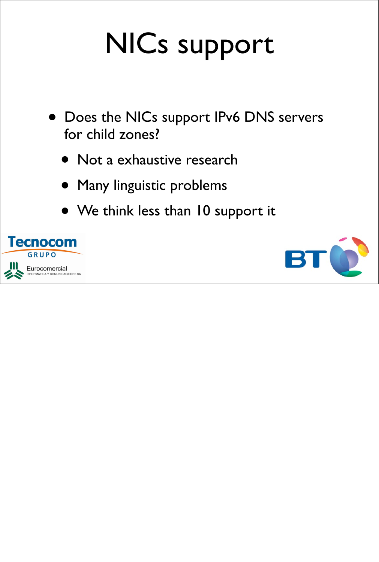## NICs support

- Does the NICs support IPv6 DNS servers for child zones?
	- Not a exhaustive research
	- Many linguistic problems
	- We think less than 10 support it



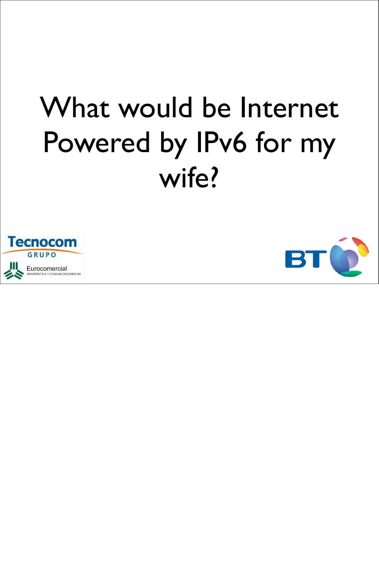## What would be Internet Powered by IPv6 for my wife?



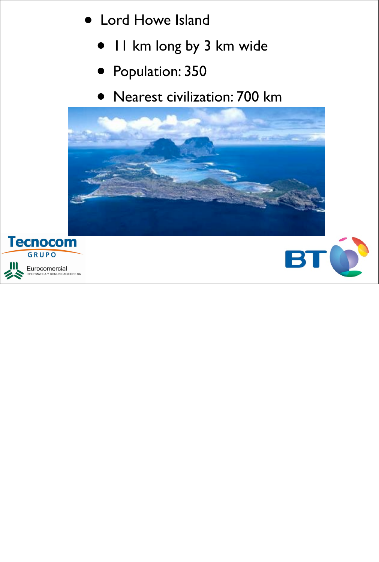- Lord Howe Island
	- 11 km long by 3 km wide
	- Population: 350
	- Nearest civilization: 700 km





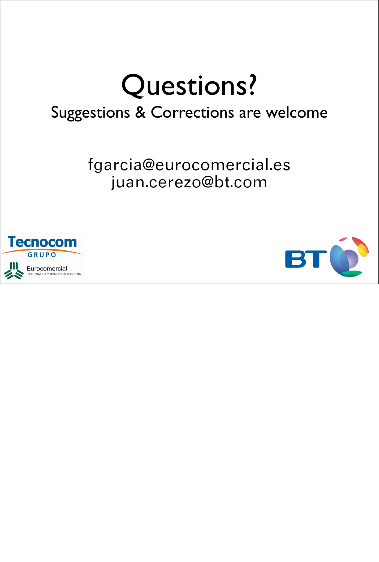## Questions?

#### Suggestions & Corrections are welcome

fgarcia@eurocomercial.es juan.cerezo@bt.com



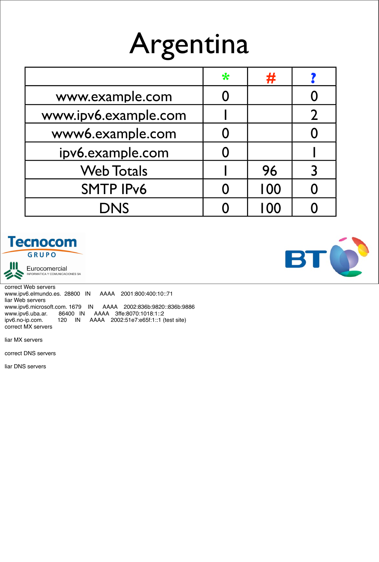## Argentina

|                      | $\ast$ | 77  |  |
|----------------------|--------|-----|--|
| www.example.com      |        |     |  |
| www.ipv6.example.com |        |     |  |
| www6.example.com     |        |     |  |
| ipv6.example.com     |        |     |  |
| <b>Web Totals</b>    |        | 96  |  |
| <b>SMTP IPv6</b>     |        | 100 |  |
| <b>DNS</b>           |        | 100 |  |





Eurocomercial<br>INFORMATICA Y COMUNICACIONES SA

correct Web servers www.ipv6.elmundo.es. 28800 IN AAAA 2001:800:400:10::71 liar Web servers www.ipv6.microsoft.com. 1679 IN AAAA 2002:836b:9820::836b:9886<br>www.ipv6.uba.ar. 86400 IN AAAA 3ffe:8070:1018:1::2 www.ipv6.uba.ar. 86400 IN<br>ipv6.no-ip.com. 120 IN ipv6.no-ip.com. 120 IN AAAA 2002:51e7:e65f:1::1 (test site) correct MX servers

liar MX servers

correct DNS servers

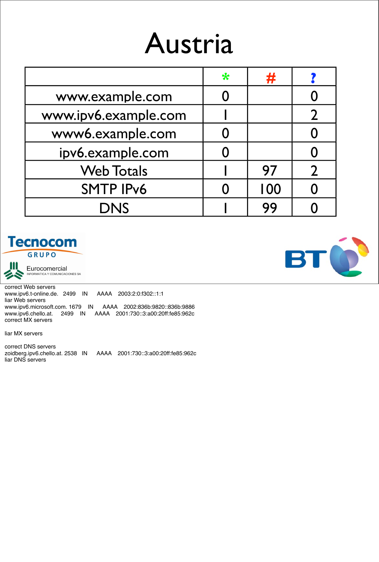## Austria

|                      | $\ast$ | #   |  |
|----------------------|--------|-----|--|
| www.example.com      |        |     |  |
| www.ipv6.example.com |        |     |  |
| www6.example.com     |        |     |  |
| ipv6.example.com     |        |     |  |
| <b>Web Totals</b>    |        | 97  |  |
| <b>SMTP IPv6</b>     |        | 100 |  |
| <b>DNS</b>           |        | 99  |  |





Eurocomercial<br>INFORMATICA Y COMUNICACIONES SA

correct Web servers www.ipv6.t-online.de. 2499 IN AAAA 2003:2:0:f302::1:1 liar Web servers www.ipv6.microsoft.com. 1679 IN AAAA 2002:836b:9820::836b:9886 www.ipv6.chello.at. 2499 IN AAAA 2001:730::3:a00:20ff:fe85:962c correct MX servers

liar MX servers

correct DNS servers zoidberg.ipv6.chello.at. 2538 IN AAAA 2001:730::3:a00:20ff:fe85:962c liar DNS servers

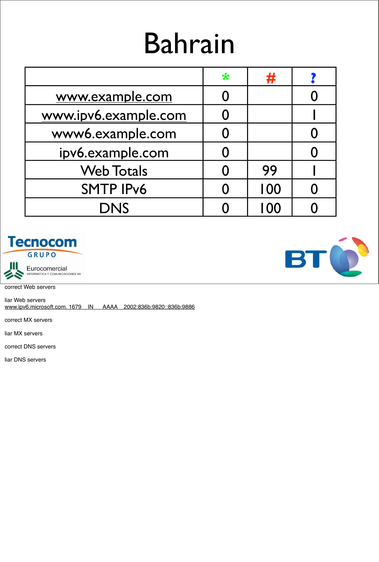## Bahrain

|                      | $\ast$ | #   |  |
|----------------------|--------|-----|--|
| www.example.com      |        |     |  |
| www.ipv6.example.com |        |     |  |
| www6.example.com     |        |     |  |
| ipv6.example.com     |        |     |  |
| <b>Web Totals</b>    |        | 99  |  |
| <b>SMTP IPv6</b>     |        | 100 |  |
| <b>DNS</b>           |        | 100 |  |





correct Web servers

liar Web servers www.ipv6.microsoft.com. 1679 IN AAAA 2002:836b:9820::836b:9886

correct MX servers

liar MX servers

correct DNS servers

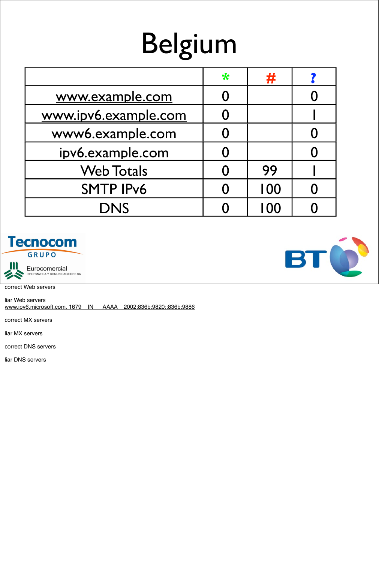## Belgium

|                      | $\ast$ | 并    |  |
|----------------------|--------|------|--|
| www.example.com      |        |      |  |
| www.ipv6.example.com |        |      |  |
| www6.example.com     |        |      |  |
| ipv6.example.com     |        |      |  |
| <b>Web Totals</b>    |        | 99   |  |
| <b>SMTP IPv6</b>     |        | 100  |  |
| <b>DNS</b>           |        | I 00 |  |





correct Web servers

liar Web servers www.ipv6.microsoft.com. 1679 IN AAAA 2002:836b:9820::836b:9886

correct MX servers

liar MX servers

correct DNS servers

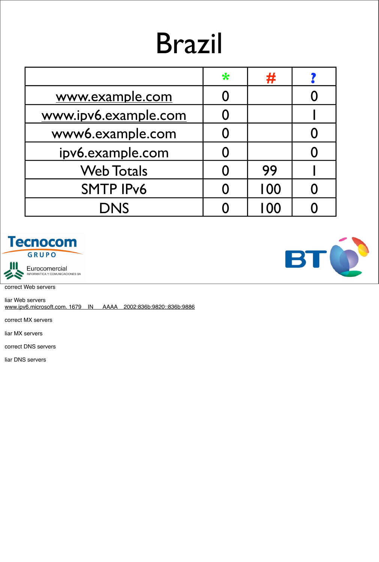## Brazil

|                      | $\ast$ | #    |  |
|----------------------|--------|------|--|
| www.example.com      |        |      |  |
| www.ipv6.example.com |        |      |  |
| www6.example.com     |        |      |  |
| ipv6.example.com     |        |      |  |
| <b>Web Totals</b>    |        | 99   |  |
| <b>SMTP IPv6</b>     |        | 100  |  |
| <b>DNS</b>           |        | I 00 |  |





correct Web servers

liar Web servers www.ipv6.microsoft.com. 1679 IN AAAA 2002:836b:9820::836b:9886

correct MX servers

liar MX servers

correct DNS servers

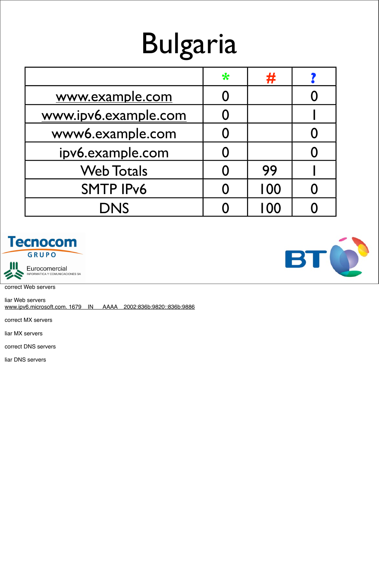## Bulgaria

|                      | $\ast$ | #   |  |
|----------------------|--------|-----|--|
| www.example.com      |        |     |  |
| www.ipv6.example.com |        |     |  |
| www6.example.com     |        |     |  |
| ipv6.example.com     |        |     |  |
| <b>Web Totals</b>    |        | 99  |  |
| <b>SMTP IPv6</b>     |        | 100 |  |
| <b>DNS</b>           |        | 100 |  |





correct Web servers

liar Web servers www.ipv6.microsoft.com. 1679 IN AAAA 2002:836b:9820::836b:9886

correct MX servers

liar MX servers

correct DNS servers

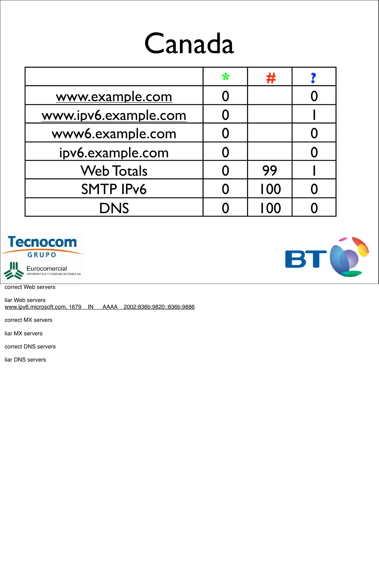## Canada

|                      | $\ast$ | #    |  |
|----------------------|--------|------|--|
| www.example.com      |        |      |  |
| www.ipv6.example.com |        |      |  |
| www6.example.com     |        |      |  |
| ipv6.example.com     |        |      |  |
| <b>Web Totals</b>    |        | 99   |  |
| <b>SMTP IPv6</b>     |        | 100  |  |
| <b>DNS</b>           |        | I 00 |  |





correct Web servers

liar Web servers www.ipv6.microsoft.com. 1679 IN AAAA 2002:836b:9820::836b:9886

correct MX servers

liar MX servers

correct DNS servers

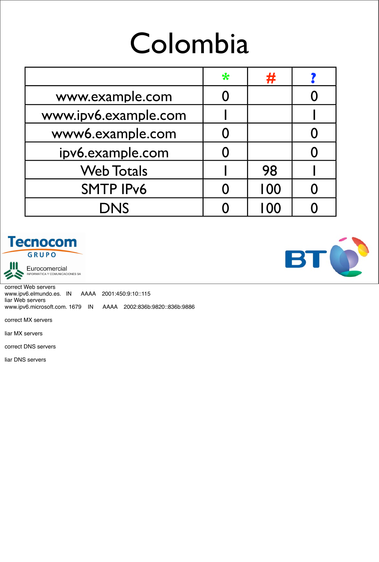## Colombia

|                      | ₩ | H    |  |
|----------------------|---|------|--|
| www.example.com      |   |      |  |
| www.ipv6.example.com |   |      |  |
| www6.example.com     |   |      |  |
| ipv6.example.com     |   |      |  |
| <b>Web Totals</b>    |   | 98   |  |
| <b>SMTP IPv6</b>     |   | 100  |  |
| <b>DNS</b>           |   | I 00 |  |





Eurocomercial<br>INFORMATICA Y COMUNICACIONES SA

correct Web servers www.ipv6.elmundo.es. IN AAAA 2001:450:9:10::115 liar Web servers www.ipv6.microsoft.com. 1679 IN AAAA 2002:836b:9820::836b:9886

correct MX servers

liar MX servers

correct DNS servers

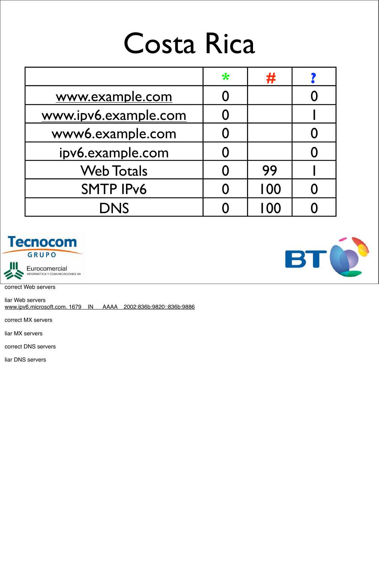#### Costa Rica

|                      | $\ast$ | Ŧ    |  |
|----------------------|--------|------|--|
| www.example.com      |        |      |  |
| www.ipv6.example.com |        |      |  |
| www6.example.com     |        |      |  |
| ipv6.example.com     |        |      |  |
| <b>Web Totals</b>    |        | 99   |  |
| <b>SMTP IPv6</b>     |        | 100  |  |
| <b>DNS</b>           |        | I OO |  |





correct Web servers

liar Web servers www.ipv6.microsoft.com. 1679 IN AAAA 2002:836b:9820::836b:9886

correct MX servers

liar MX servers

correct DNS servers

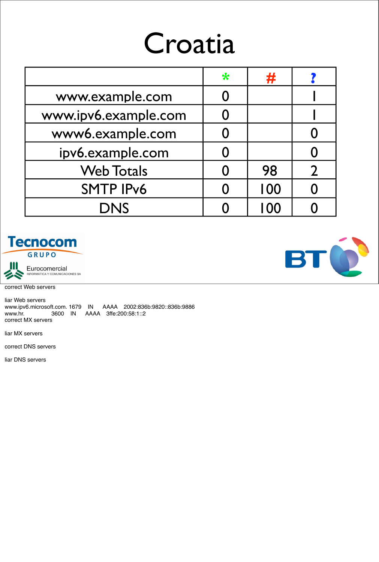### Croatia

|                      | ₩ | #   |  |
|----------------------|---|-----|--|
| www.example.com      |   |     |  |
| www.ipv6.example.com | 0 |     |  |
| www6.example.com     |   |     |  |
| ipv6.example.com     |   |     |  |
| <b>Web Totals</b>    |   | 98  |  |
| <b>SMTP IPv6</b>     |   | 100 |  |
| <b>DNS</b>           |   | 100 |  |



Eurocomercial<br>INFORMATICA Y COMUNICACIONES SA

correct Web servers

liar Web servers www.ipv6.microsoft.com. 1679 IN AAAA 2002:836b:9820::836b:9886 www.hr. 3600 IN AAAA 3ffe:200:58:1::2 correct MX servers

liar MX servers

correct DNS servers

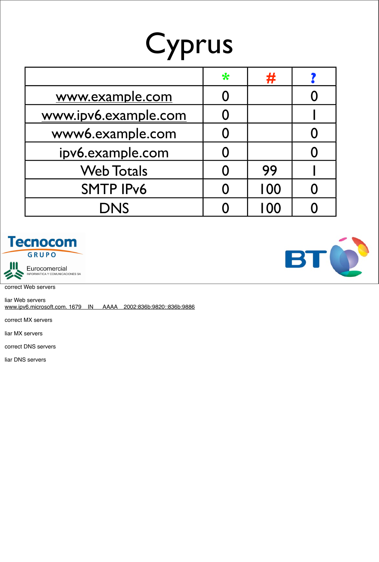## Cyprus

|                      | $\ast$              | #    |  |
|----------------------|---------------------|------|--|
| www.example.com      |                     |      |  |
| www.ipv6.example.com |                     |      |  |
| www6.example.com     |                     |      |  |
| ipv6.example.com     |                     |      |  |
| <b>Web Totals</b>    |                     | 99   |  |
| <b>SMTP IPv6</b>     | $\boldsymbol{\cap}$ | 100  |  |
| <b>DNS</b>           |                     | I 00 |  |





correct Web servers

liar Web servers www.ipv6.microsoft.com. 1679 IN AAAA 2002:836b:9820::836b:9886

correct MX servers

liar MX servers

correct DNS servers

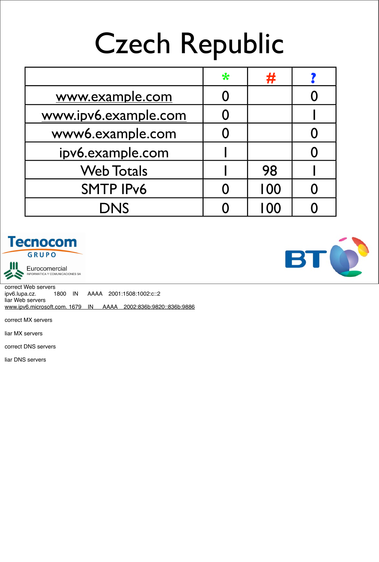## Czech Republic

|                      | $\ast$ | #   |  |
|----------------------|--------|-----|--|
| www.example.com      |        |     |  |
| www.ipv6.example.com |        |     |  |
| www6.example.com     |        |     |  |
| ipv6.example.com     |        |     |  |
| <b>Web Totals</b>    |        | 98  |  |
| <b>SMTP IPv6</b>     |        | 100 |  |
| <b>DNS</b>           |        | 100 |  |





Eurocomercial<br>INFORMATICA Y COMUNICACIONES SA

correct Web servers ipv6.lupa.cz. 1800 IN AAAA 2001:1508:1002:c::2 liar Web servers www.ipv6.microsoft.com. 1679 IN AAAA 2002:836b:9820::836b:9886

correct MX servers

liar MX servers

correct DNS servers

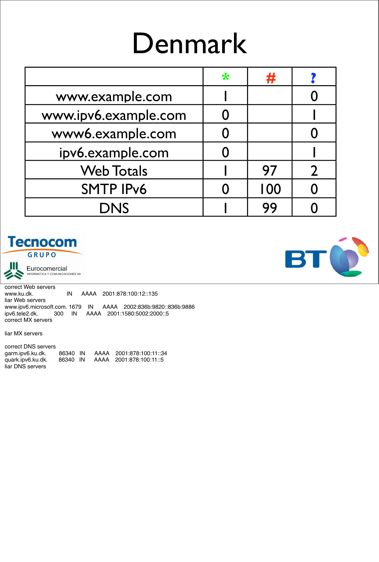### Denmark

|                      | $\ast$ | #   |  |
|----------------------|--------|-----|--|
| www.example.com      |        |     |  |
| www.ipv6.example.com |        |     |  |
| www6.example.com     |        |     |  |
| ipv6.example.com     |        |     |  |
| <b>Web Totals</b>    |        | 97  |  |
| <b>SMTP IPv6</b>     |        | 100 |  |
| <b>DNS</b>           |        | 99  |  |

#### **Tecnocom** GRUPO



Eurocomercial<br>INFORMATICA Y COMUNICACIONES SA

correct Web servers www.ku.dk. IN AAAA 2001:878:100:12::135 liar Web servers www.ipv6.microsoft.com. 1679 IN AAAA 2002:836b:9820::836b:9886<br>ipv6.tele2.dk. 300 IN AAAA 2001:1580:5002:2000::5 300 IN AAAA 2001:1580:5002:2000::5 correct MX servers

liar MX servers

correct DNS servers garm.ipv6.ku.dk. 86340 IN AAAA 2001:878:100:11::34 quark.ipv6.ku.dk. 86340 IN AAAA 2001:878:100:11::5 liar DNS servers

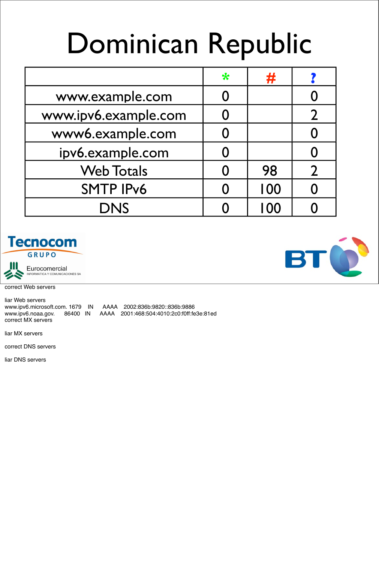## Dominican Republic

|                      | $\ast$ | #   |  |
|----------------------|--------|-----|--|
| www.example.com      |        |     |  |
| www.ipv6.example.com |        |     |  |
| www6.example.com     |        |     |  |
| ipv6.example.com     |        |     |  |
| <b>Web Totals</b>    |        | 98  |  |
| <b>SMTP IPv6</b>     |        | 100 |  |
| <b>DNS</b>           |        | 100 |  |





correct Web servers

liar Web servers www.ipv6.microsoft.com. 1679 IN AAAA 2002:836b:9820::836b:9886 www.ipv6.noaa.gov. 86400 IN AAAA 2001:468:504:4010:2c0:f0ff:fe3e:81ed correct MX servers

liar MX servers

correct DNS servers

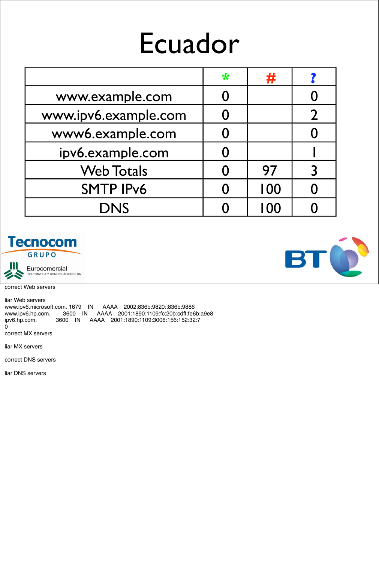#### Ecuador

|                      | $\ast$ | #    |  |
|----------------------|--------|------|--|
| www.example.com      |        |      |  |
| www.ipv6.example.com |        |      |  |
| www6.example.com     |        |      |  |
| ipv6.example.com     |        |      |  |
| <b>Web Totals</b>    |        | 97   |  |
| <b>SMTP IPv6</b>     |        | 100  |  |
| <b>DNS</b>           |        | I 00 |  |





correct Web servers

liar Web servers www.ipv6.microsoft.com. 1679 IN AAAA 2002:836b:9820::836b:9886 www.ipv6.hp.com. 3600 IN AAAA 2001:1890:1109:fc:20b:cdff:fe6b:a9e8<br>ipv6.hp.com. 3600 IN AAAA 2001:1890:1109:3006:156:152:32:7 ipv6.hp.com. 3600 IN AAAA 2001:1890:1109:3006:156:152:32:7 0

correct MX servers

liar MX servers

correct DNS servers

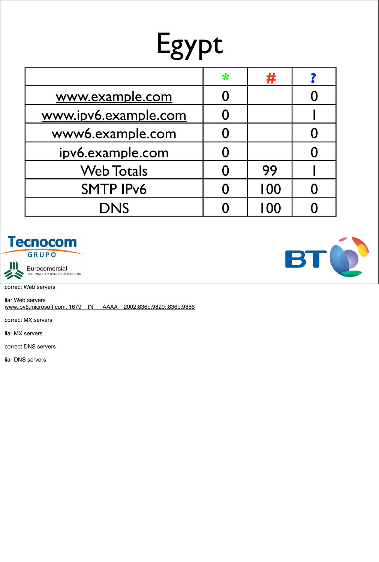# Egypt

|                      | ₩         | #    |  |
|----------------------|-----------|------|--|
| www.example.com      | O         |      |  |
| www.ipv6.example.com |           |      |  |
| www6.example.com     | O         |      |  |
| ipv6.example.com     | 0         |      |  |
| <b>Web Totals</b>    | $\Omega$  | 99   |  |
| <b>SMTP IPv6</b>     | $\bigcap$ | 100  |  |
| <b>DNS</b>           |           | I OC |  |





correct Web servers

liar Web servers www.ipv6.microsoft.com. 1679 IN AAAA 2002:836b:9820::836b:9886

correct MX servers

liar MX servers

correct DNS servers

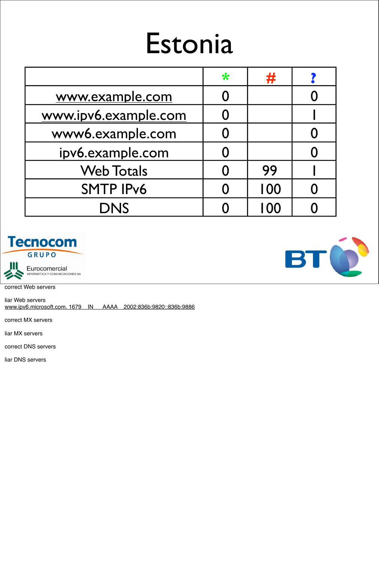## Estonia

|                      | $\ast$ | #    |  |
|----------------------|--------|------|--|
| www.example.com      |        |      |  |
| www.ipv6.example.com |        |      |  |
| www6.example.com     |        |      |  |
| ipv6.example.com     |        |      |  |
| <b>Web Totals</b>    |        | 99   |  |
| <b>SMTP IPv6</b>     |        | 100  |  |
| <b>DNS</b>           |        | I 00 |  |





correct Web servers

liar Web servers www.ipv6.microsoft.com. 1679 IN AAAA 2002:836b:9820::836b:9886

correct MX servers

liar MX servers

correct DNS servers

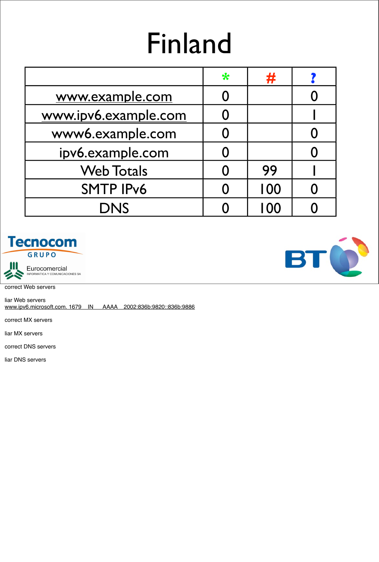## Finland

|                      | $\ast$ | #    |  |
|----------------------|--------|------|--|
| www.example.com      |        |      |  |
| www.ipv6.example.com |        |      |  |
| www6.example.com     |        |      |  |
| ipv6.example.com     |        |      |  |
| <b>Web Totals</b>    |        | 99   |  |
| <b>SMTP IPv6</b>     |        | 100  |  |
| <b>DNS</b>           |        | I 00 |  |





correct Web servers

liar Web servers www.ipv6.microsoft.com. 1679 IN AAAA 2002:836b:9820::836b:9886

correct MX servers

liar MX servers

correct DNS servers

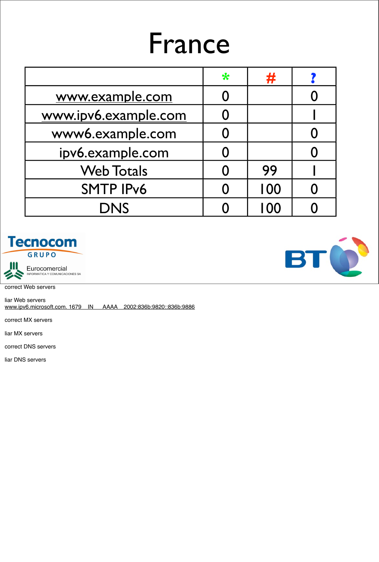#### France

|                      | $\ast$ | 77  |  |
|----------------------|--------|-----|--|
| www.example.com      |        |     |  |
| www.ipv6.example.com |        |     |  |
| www6.example.com     |        |     |  |
| ipv6.example.com     |        |     |  |
| <b>Web Totals</b>    | 0      | 99  |  |
| <b>SMTP IPv6</b>     |        | 100 |  |
| <b>DNS</b>           |        | 100 |  |





correct Web servers

liar Web servers www.ipv6.microsoft.com. 1679 IN AAAA 2002:836b:9820::836b:9886

correct MX servers

liar MX servers

correct DNS servers

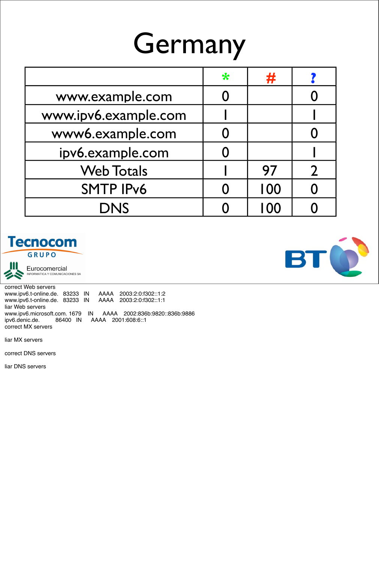## Germany

|                      | ₩ | 并                 |  |
|----------------------|---|-------------------|--|
| www.example.com      |   |                   |  |
| www.ipv6.example.com |   |                   |  |
| www6.example.com     |   |                   |  |
| ipv6.example.com     |   |                   |  |
| <b>Web Totals</b>    |   | 97                |  |
| <b>SMTP IPv6</b>     |   | 100               |  |
| <b>DNS</b>           |   | $\overline{1}$ OC |  |





Eurocomercial<br>INFORMATICA Y COMUNICACIONES SA

correct Web servers www.ipv6.t-online.de. 83233 IN AAAA 2003:2:0:f302::1:2 www.ipv6.t-online.de. 83233 IN liar Web servers www.ipv6.microsoft.com. 1679 IN AAAA 2002:836b:9820::836b:9886<br>ipv6.denic.de. 86400 IN AAAA 2001:608:6::1 ipv6.denic.de. 86400 IN AAAA 2001:608:6::1 correct MX servers

liar MX servers

correct DNS servers

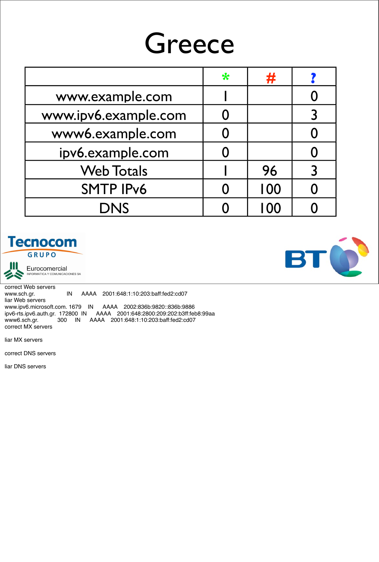#### Greece

|                      | $\ast$ | #   |  |
|----------------------|--------|-----|--|
| www.example.com      |        |     |  |
| www.ipv6.example.com |        |     |  |
| www6.example.com     |        |     |  |
| ipv6.example.com     |        |     |  |
| <b>Web Totals</b>    |        | 96  |  |
| <b>SMTP IPv6</b>     |        | 100 |  |
| <b>DNS</b>           |        | 100 |  |





Eurocomercial<br>INFORMATICA Y COMUNICACIONES SA

correct Web servers<br>www.sch.gr. IN AAAA 2001:648:1:10:203:baff:fed2:cd07 liar Web servers www.ipv6.microsoft.com. 1679 IN AAAA 2002:836b:9820::836b:9886 ipv6-rts.ipv6.auth.gr. 172800 IN AAAA 2001:648:2800:209:202:b3ff:feb8:99aa AAAA 2001:648:1:10:203:baff:fed2:cd07 correct MX servers

liar MX servers

correct DNS servers

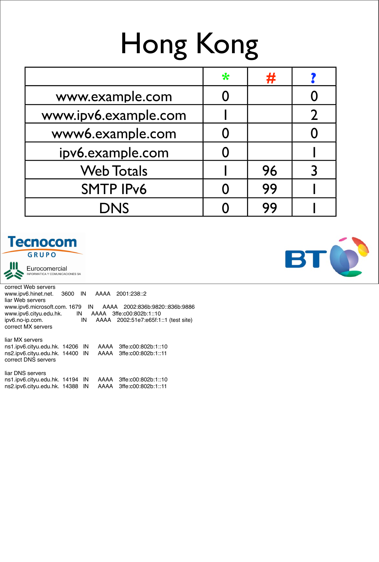# Hong Kong

|                      | $\ast$ | #  |  |
|----------------------|--------|----|--|
| www.example.com      |        |    |  |
| www.ipv6.example.com |        |    |  |
| www6.example.com     |        |    |  |
| ipv6.example.com     |        |    |  |
| <b>Web Totals</b>    |        | 96 |  |
| <b>SMTP IPv6</b>     |        | 99 |  |
| <b>DNS</b>           |        | 99 |  |

#### **Tecnocom** GRUPO



Eurocomercial NFORMATICA Y COMUNICACIONES SA

correct Web servers www.ipv6.hinet.net. 3600 IN AAAA 2001:238::2 liar Web servers www.ipv6.microsoft.com. 1679 IN AAAA 2002:836b:9820::836b:9886 www.ipv6.cityu.edu.hk. IN AAAA 3ffe:c00:802b:1::10 ipv6.no-ip.com. IN AAAA 2002:51e7:e65f:1::1 (test site) correct MX servers

liar MX servers ns1.ipv6.cityu.edu.hk. 14206 IN AAAA 3ffe:c00:802b:1::10 ns2.ipv6.cityu.edu.hk. 14400 IN AAAA 3ffe:c00:802b:1::11 correct DNS servers

liar DNS servers ns1.ipv6.cityu.edu.hk. 14194 IN AAAA 3ffe:c00:802b:1::10 ns2.ipv6.cityu.edu.hk. 14388 IN AAAA 3ffe:c00:802b:1::11

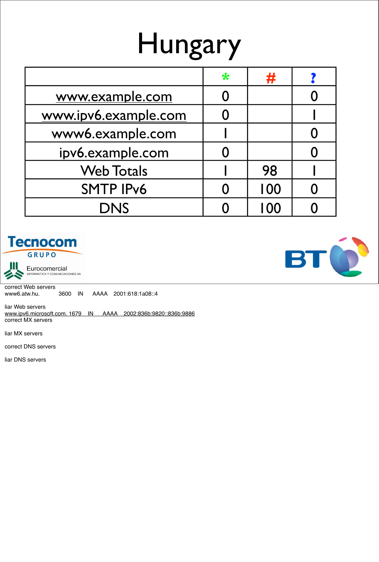## Hungary

|                      | ₩ | #   |  |
|----------------------|---|-----|--|
| www.example.com      |   |     |  |
| www.ipv6.example.com |   |     |  |
| www6.example.com     |   |     |  |
| ipv6.example.com     |   |     |  |
| <b>Web Totals</b>    |   | 98  |  |
| <b>SMTP IPv6</b>     |   | 100 |  |
| <b>DNS</b>           |   | 100 |  |





Eurocomercial<br>INFORMATICA Y COMUNICACIONES SA

correct Web servers www6.atw.hu. 3600 IN AAAA 2001:618:1a08::4

liar Web servers www.ipv6.microsoft.com. 1679 IN AAAA 2002:836b:9820::836b:9886 correct MX servers

liar MX servers

correct DNS servers

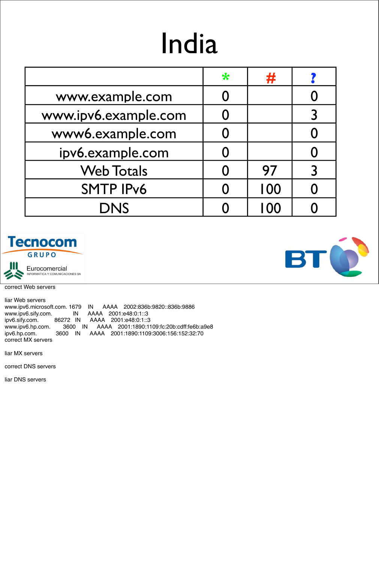## India

|                      | $\ast$ | 并    |   |
|----------------------|--------|------|---|
| www.example.com      |        |      |   |
| www.ipv6.example.com |        |      |   |
| www6.example.com     |        |      |   |
| ipv6.example.com     |        |      |   |
| <b>Web Totals</b>    |        | 97   | 3 |
| <b>SMTP IPv6</b>     |        | 100  |   |
| <b>DNS</b>           |        | I 00 |   |





correct Web servers

liar Web servers www.ipv6.microsoft.com. 1679 IN AAAA 2002:836b:9820::836b:9886 www.ipv6.sify.com. IN AAAA 2001:e48:0:1::3 ipv6.sify.com. 86272 IN AAAA 2001:e48:0:1::3 www.ipv6.hp.com. 3600 IN AAAA 2001:1890:1109:fc:20b:cdff:fe6b:a9e8 ipv6.hp.com. 3600 IN AAAA 2001:1890:1109:3006:156:152:32:70 correct MX servers

liar MX servers

correct DNS servers

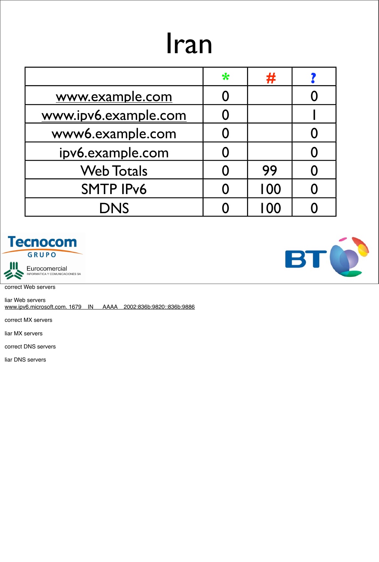### Iran

|                      | ₩ | 并   |  |
|----------------------|---|-----|--|
| www.example.com      |   |     |  |
| www.ipv6.example.com |   |     |  |
| www6.example.com     |   |     |  |
| ipv6.example.com     |   |     |  |
| <b>Web Totals</b>    |   | 99  |  |
| <b>SMTP IPv6</b>     |   | 100 |  |
| <b>DNS</b>           |   | 100 |  |



Eurocomercial<br>INFORMATICA Y COMUNICACIONES SA

correct Web servers

liar Web servers www.ipv6.microsoft.com. 1679 IN AAAA 2002:836b:9820::836b:9886

correct MX servers

liar MX servers

correct DNS servers

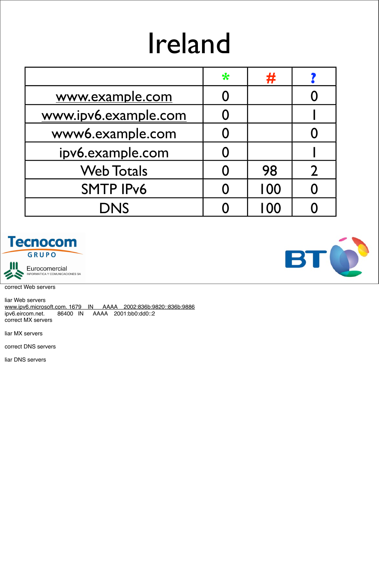## Ireland

|                      | $\ast$ | #   |  |
|----------------------|--------|-----|--|
| www.example.com      |        |     |  |
| www.ipv6.example.com |        |     |  |
| www6.example.com     |        |     |  |
| ipv6.example.com     |        |     |  |
| <b>Web Totals</b>    | Ŋ      | 98  |  |
| <b>SMTP IPv6</b>     |        | 100 |  |
| <b>DNS</b>           |        | 100 |  |



Eurocomercial<br>INFORMATICA Y COMUNICACIONES SA

correct Web servers

liar Web servers www.ipv6.microsoft.com. 1679 IN AAAA 2002:836b:9820::836b:9886<br>ipv6.eircom.net. 86400 IN AAAA 2001:bb0:dd0::2 AAAA 2001:bb0:dd0::2 correct MX servers

liar MX servers

correct DNS servers

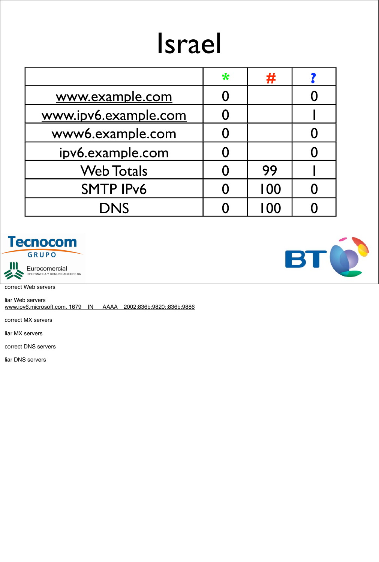## Israel

|                      | $\ast$ | #    |  |
|----------------------|--------|------|--|
| www.example.com      |        |      |  |
| www.ipv6.example.com |        |      |  |
| www6.example.com     |        |      |  |
| ipv6.example.com     |        |      |  |
| <b>Web Totals</b>    |        | 99   |  |
| <b>SMTP IPv6</b>     |        | 100  |  |
| <b>DNS</b>           |        | I 00 |  |





correct Web servers

liar Web servers www.ipv6.microsoft.com. 1679 IN AAAA 2002:836b:9820::836b:9886

correct MX servers

liar MX servers

correct DNS servers

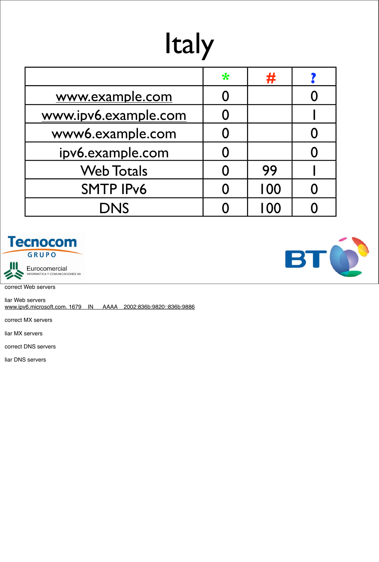## Italy

|                      | ₩ | #    |  |
|----------------------|---|------|--|
| www.example.com      |   |      |  |
| www.ipv6.example.com |   |      |  |
| www6.example.com     |   |      |  |
| ipv6.example.com     |   |      |  |
| <b>Web Totals</b>    |   | 99   |  |
| <b>SMTP IPv6</b>     |   | 100  |  |
| <b>DNS</b>           |   | I 00 |  |





correct Web servers

liar Web servers www.ipv6.microsoft.com. 1679 IN AAAA 2002:836b:9820::836b:9886

correct MX servers

liar MX servers

correct DNS servers

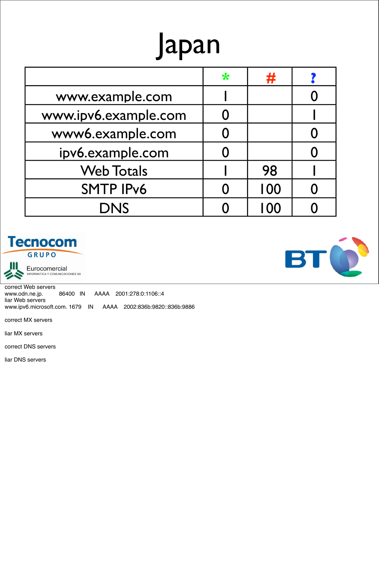## Japan

|                      | $\ast$ | 77  |  |
|----------------------|--------|-----|--|
| www.example.com      |        |     |  |
| www.ipv6.example.com |        |     |  |
| www6.example.com     |        |     |  |
| ipv6.example.com     |        |     |  |
| <b>Web Totals</b>    |        | 98  |  |
| <b>SMTP IPv6</b>     |        | 100 |  |
| <b>DNS</b>           |        | 100 |  |





Eurocomercial<br>INFORMATICA Y COMUNICACIONES SA

correct Web servers www.odn.ne.jp. 86400 IN AAAA 2001:278:0:1106::4 liar Web servers www.ipv6.microsoft.com. 1679 IN AAAA 2002:836b:9820::836b:9886

correct MX servers

liar MX servers

correct DNS servers

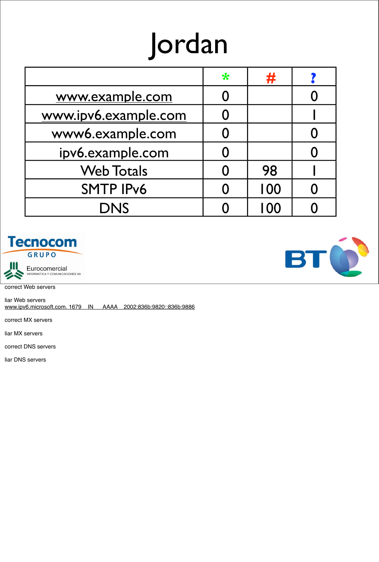## Jordan

|                      | $\ast$ | #    |  |
|----------------------|--------|------|--|
| www.example.com      |        |      |  |
| www.ipv6.example.com |        |      |  |
| www6.example.com     |        |      |  |
| ipv6.example.com     | 0      |      |  |
| <b>Web Totals</b>    |        | 98   |  |
| <b>SMTP IPv6</b>     |        | 100  |  |
| <b>DNS</b>           |        | I 00 |  |





correct Web servers

liar Web servers www.ipv6.microsoft.com. 1679 IN AAAA 2002:836b:9820::836b:9886

correct MX servers

liar MX servers

correct DNS servers

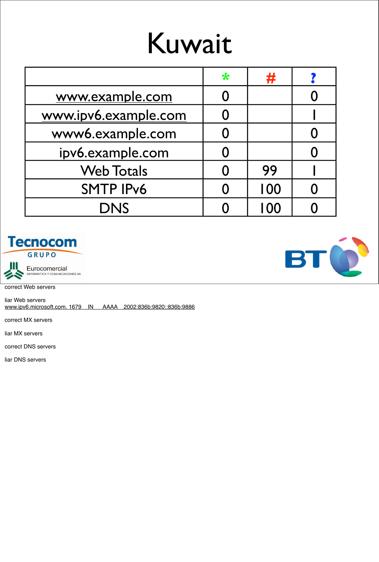## Kuwait

|                      | $\ast$ | 并    |  |
|----------------------|--------|------|--|
| www.example.com      |        |      |  |
| www.ipv6.example.com |        |      |  |
| www6.example.com     |        |      |  |
| ipv6.example.com     |        |      |  |
| <b>Web Totals</b>    |        | 99   |  |
| <b>SMTP IPv6</b>     |        | 100  |  |
| <b>DNS</b>           |        | I OO |  |





correct Web servers

liar Web servers www.ipv6.microsoft.com. 1679 IN AAAA 2002:836b:9820::836b:9886

correct MX servers

liar MX servers

correct DNS servers

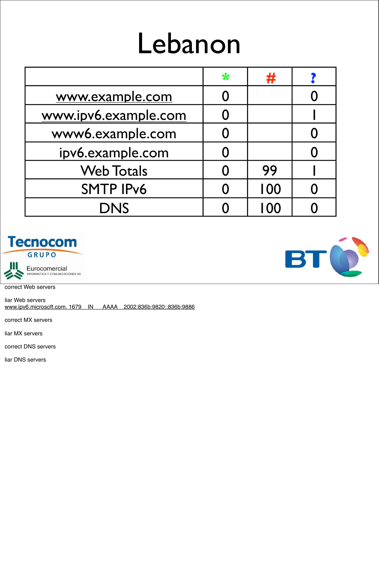## Lebanon

|                      | $\ast$ | 77   |  |
|----------------------|--------|------|--|
| www.example.com      |        |      |  |
| www.ipv6.example.com |        |      |  |
| www6.example.com     |        |      |  |
| ipv6.example.com     |        |      |  |
| <b>Web Totals</b>    |        | 99   |  |
| <b>SMTP IPv6</b>     |        | 100  |  |
| <b>DNS</b>           |        | I 00 |  |





correct Web servers

liar Web servers www.ipv6.microsoft.com. 1679 IN AAAA 2002:836b:9820::836b:9886

correct MX servers

liar MX servers

correct DNS servers

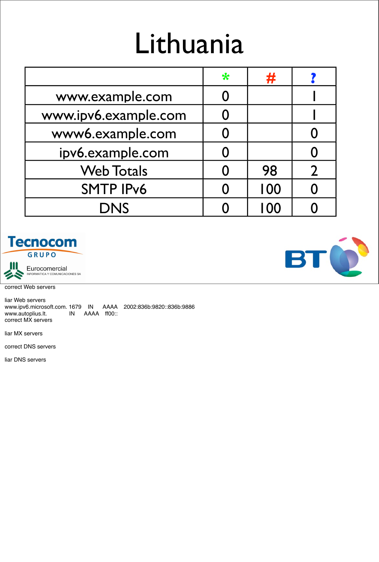## Lithuania

|                      | $\ast$ | 井   |  |
|----------------------|--------|-----|--|
| www.example.com      |        |     |  |
| www.ipv6.example.com |        |     |  |
| www6.example.com     |        |     |  |
| ipv6.example.com     |        |     |  |
| <b>Web Totals</b>    |        | 98  |  |
| <b>SMTP IPv6</b>     |        | 100 |  |
| <b>DNS</b>           |        | 100 |  |





correct Web servers

liar Web servers www.ipv6.microsoft.com. 1679 IN AAAA 2002:836b:9820::836b:9886<br>www.autoplius.lt. IN AAAA ff00:: IN AAAA ff00:: correct MX servers

liar MX servers

correct DNS servers

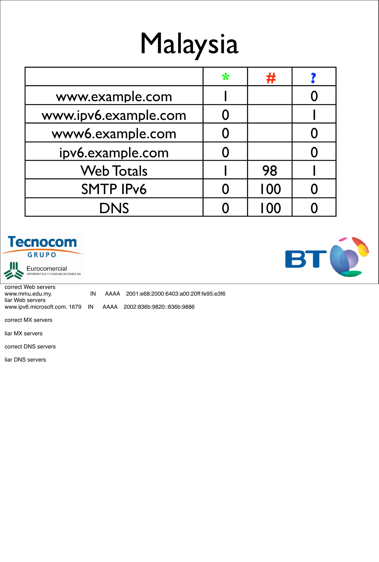# Malaysia

|                      | $\ast$ | 并    |  |
|----------------------|--------|------|--|
| www.example.com      |        |      |  |
| www.ipv6.example.com |        |      |  |
| www6.example.com     |        |      |  |
| ipv6.example.com     |        |      |  |
| <b>Web Totals</b>    |        | 98   |  |
| <b>SMTP IPv6</b>     |        | 100  |  |
| <b>DNS</b>           |        | I OO |  |





Eurocomercial<br>INFORMATICA Y COMUNICACIONES SA

correct Web servers www.mmu.edu.my. IN AAAA 2001:e68:2000:6403:a00:20ff:fe95:e3f6 liar Web servers www.ipv6.microsoft.com. 1679 IN AAAA 2002:836b:9820::836b:9886

correct MX servers

liar MX servers

correct DNS servers

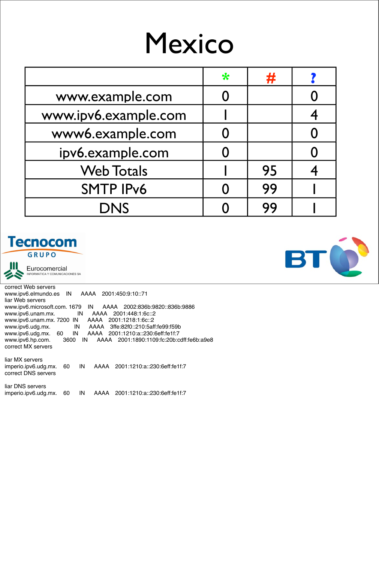#### Mexico

|                      | $\ast$ | #  |  |
|----------------------|--------|----|--|
| www.example.com      |        |    |  |
| www.ipv6.example.com |        |    |  |
| www6.example.com     |        |    |  |
| ipv6.example.com     |        |    |  |
| <b>Web Totals</b>    |        | 95 |  |
| <b>SMTP IPv6</b>     |        | 99 |  |
| <b>DNS</b>           |        | 99 |  |

#### **Tecnocom**

GRUPO



Eurocomercial NFORMATICA Y COMUNICACIONES SA

correct Web servers www.ipv6.elmundo.es IN AAAA 2001:450:9:10::71 liar Web servers www.ipv6.microsoft.com. 1679 IN AAAA 2002:836b:9820::836b:9886 www.ipv6.unam.mx. IN AAAA 2001:448:1:6c::2 www.ipv6.unam.mx. 7200 IN AAAA 2001:1218:1:6c::2 www.ipv6.udg.mx. IN AAAA 3ffe:82f0::210:5aff:fe99:f59b www.ipv6.udg.mx. 60 IN AAAA 2001:1210:a::230:6eff:fe1f:7 www.ipv6.hp.com. 3600 IN AAAA 2001:1890:1109:fc:20b:cdff:fe6b:a9e8 correct MX servers

liar DNS servers<br>imperio.ipv6.udg.mx. 60 imperio.ipv6.udg.mx. 60 IN AAAA 2001:1210:a::230:6eff:fe1f:7



liar MX servers imperio.ipv6.udg.mx. 60 IN AAAA 2001:1210:a::230:6eff:fe1f:7 correct DNS servers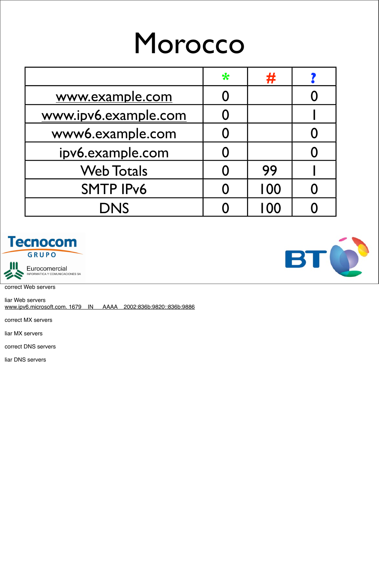#### Morocco

|                      | $\ast$ | Ŧ    |  |
|----------------------|--------|------|--|
| www.example.com      |        |      |  |
| www.ipv6.example.com |        |      |  |
| www6.example.com     |        |      |  |
| ipv6.example.com     |        |      |  |
| <b>Web Totals</b>    |        | 99   |  |
| <b>SMTP IPv6</b>     |        | 100  |  |
| <b>DNS</b>           |        | I 00 |  |





correct Web servers

liar Web servers www.ipv6.microsoft.com. 1679 IN AAAA 2002:836b:9820::836b:9886

correct MX servers

liar MX servers

correct DNS servers

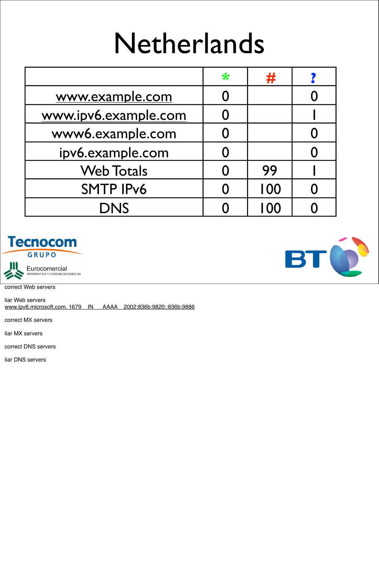#### Netherlands

|                      | $\ast$ | 井    |  |
|----------------------|--------|------|--|
| www.example.com      |        |      |  |
| www.ipv6.example.com |        |      |  |
| www6.example.com     |        |      |  |
| ipv6.example.com     |        |      |  |
| <b>Web Totals</b>    |        | 99   |  |
| <b>SMTP IPv6</b>     |        | 100  |  |
| <b>DNS</b>           |        | I OO |  |



Eurocomercial<br>INFORMATICA Y COMUNICACIONES SA

correct Web servers

liar Web servers www.ipv6.microsoft.com. 1679 IN AAAA 2002:836b:9820::836b:9886

correct MX servers

liar MX servers

correct DNS servers

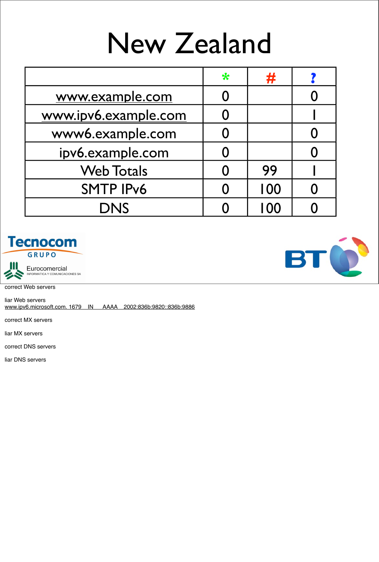## New Zealand

|                      | $\ast$ | #    |  |
|----------------------|--------|------|--|
| www.example.com      |        |      |  |
| www.ipv6.example.com |        |      |  |
| www6.example.com     |        |      |  |
| ipv6.example.com     |        |      |  |
| <b>Web Totals</b>    |        | 99   |  |
| <b>SMTP IPv6</b>     |        | 100  |  |
| <b>DNS</b>           |        | I 00 |  |





correct Web servers

liar Web servers www.ipv6.microsoft.com. 1679 IN AAAA 2002:836b:9820::836b:9886

correct MX servers

liar MX servers

correct DNS servers

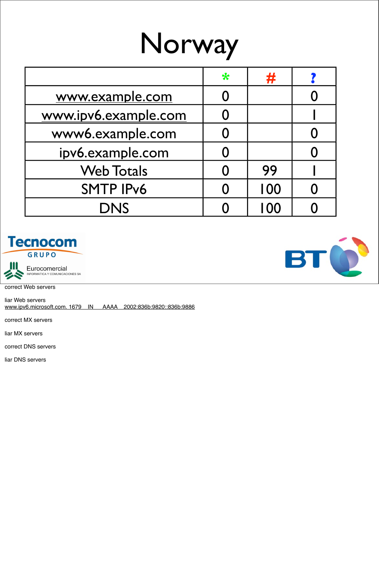## Norway

|                      | $\ast$ | #   |  |
|----------------------|--------|-----|--|
| www.example.com      |        |     |  |
| www.ipv6.example.com |        |     |  |
| www6.example.com     |        |     |  |
| ipv6.example.com     |        |     |  |
| <b>Web Totals</b>    |        | 99  |  |
| <b>SMTP IPv6</b>     |        | 100 |  |
| <b>DNS</b>           |        | 100 |  |





correct Web servers

liar Web servers www.ipv6.microsoft.com. 1679 IN AAAA 2002:836b:9820::836b:9886

correct MX servers

liar MX servers

correct DNS servers

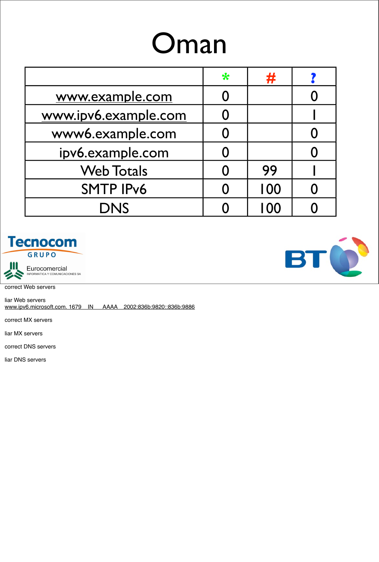## Oman

|                      | $\ast$ | #    |  |
|----------------------|--------|------|--|
| www.example.com      |        |      |  |
| www.ipv6.example.com |        |      |  |
| www6.example.com     |        |      |  |
| ipv6.example.com     |        |      |  |
| <b>Web Totals</b>    |        | 99   |  |
| <b>SMTP IPv6</b>     |        | 100  |  |
| <b>DNS</b>           |        | I 00 |  |





correct Web servers

liar Web servers www.ipv6.microsoft.com. 1679 IN AAAA 2002:836b:9820::836b:9886

correct MX servers

liar MX servers

correct DNS servers

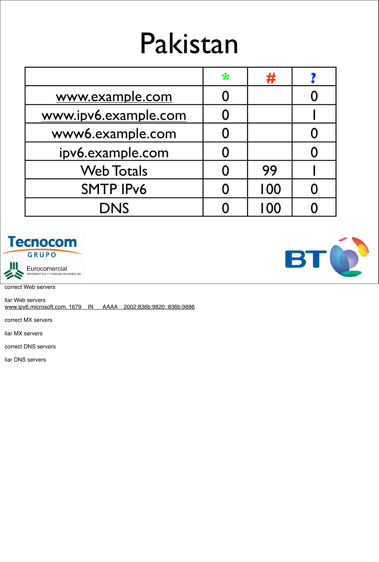#### Pakistan

|                      | $\ast$ | #    |  |
|----------------------|--------|------|--|
| www.example.com      |        |      |  |
| www.ipv6.example.com |        |      |  |
| www6.example.com     |        |      |  |
| ipv6.example.com     |        |      |  |
| <b>Web Totals</b>    |        | 99   |  |
| <b>SMTP IPv6</b>     |        | 100  |  |
| <b>DNS</b>           |        | I 00 |  |





correct Web servers

liar Web servers www.ipv6.microsoft.com. 1679 IN AAAA 2002:836b:9820::836b:9886

correct MX servers

liar MX servers

correct DNS servers

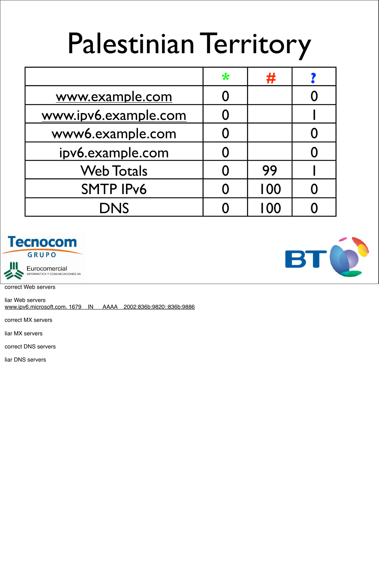## Palestinian Territory

|                      | $\ast$ | #    |  |
|----------------------|--------|------|--|
| www.example.com      |        |      |  |
| www.ipv6.example.com |        |      |  |
| www6.example.com     |        |      |  |
| ipv6.example.com     |        |      |  |
| <b>Web Totals</b>    |        | 99   |  |
| <b>SMTP IPv6</b>     |        | 100  |  |
| <b>DNS</b>           |        | I 00 |  |





correct Web servers

liar Web servers www.ipv6.microsoft.com. 1679 IN AAAA 2002:836b:9820::836b:9886

correct MX servers

liar MX servers

correct DNS servers

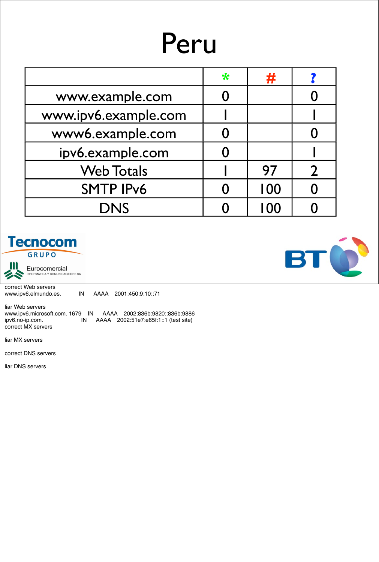## Peru

|                      | $\ast$ | #    |  |
|----------------------|--------|------|--|
| www.example.com      |        |      |  |
| www.ipv6.example.com |        |      |  |
| www6.example.com     |        |      |  |
| ipv6.example.com     |        |      |  |
| <b>Web Totals</b>    |        | 97   |  |
| <b>SMTP IPv6</b>     |        | 100  |  |
| <b>DNS</b>           |        | I 00 |  |





Eurocomercial<br>INFORMATICA Y COMUNICACIONES SA

correct Web servers<br>www.ipv6.elmundo.es. IN AAAA 2001:450:9:10::71

liar Web servers www.ipv6.microsoft.com. 1679 IN AAAA 2002:836b:9820::836b:9886<br>ipv6.no-ip.com. IN AAAA 2002:51e7:e65f:1::1 (test site) ipv6.no-ip.com. IN AAAA 2002:51e7:e65f:1::1 (test site) correct MX servers

liar MX servers

correct DNS servers

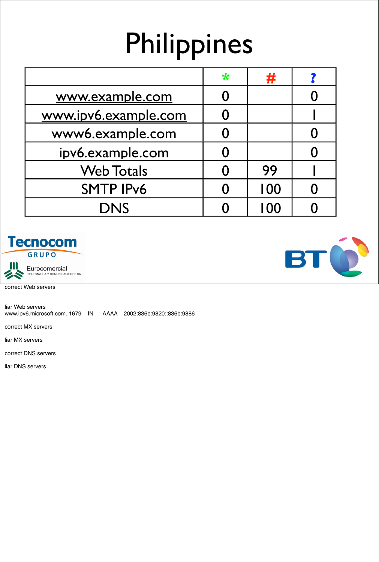# Philippines

|                      | ₩ | #   |  |
|----------------------|---|-----|--|
| www.example.com      |   |     |  |
| www.ipv6.example.com |   |     |  |
| www6.example.com     |   |     |  |
| ipv6.example.com     |   |     |  |
| <b>Web Totals</b>    |   | 99  |  |
| <b>SMTP IPv6</b>     |   | 100 |  |
| <b>DNS</b>           |   | 100 |  |





correct Web servers

liar Web servers www.ipv6.microsoft.com. 1679 IN AAAA 2002:836b:9820::836b:9886

correct MX servers

liar MX servers

correct DNS servers

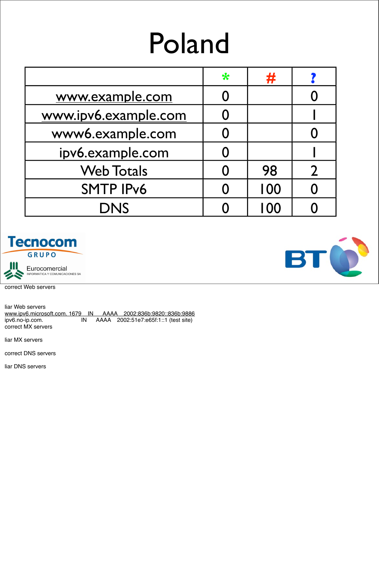## Poland

|                      | $\ast$ | #    |  |
|----------------------|--------|------|--|
| www.example.com      |        |      |  |
| www.ipv6.example.com |        |      |  |
| www6.example.com     |        |      |  |
| ipv6.example.com     |        |      |  |
| <b>Web Totals</b>    |        | 98   |  |
| <b>SMTP IPv6</b>     |        | 100  |  |
| <b>DNS</b>           |        | I 00 |  |





correct Web servers

liar Web servers www.ipv6.microsoft.com. 1679 IN AAAA 2002:836b:9820::836b:9886<br>ipv6.no-ip.com. IN AAAA 2002:51e7:e65f:1::1 (test site) ipv6.no-ip.com. IN AAAA 2002:51e7:e65f:1::1 (test site) correct MX servers

liar MX servers

correct DNS servers

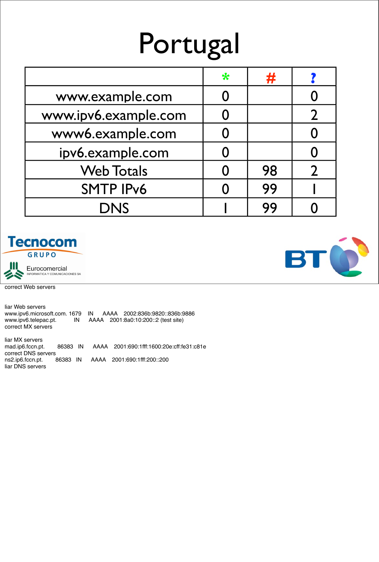## Portugal

|                      | ₩ | #  |  |
|----------------------|---|----|--|
| www.example.com      |   |    |  |
| www.ipv6.example.com |   |    |  |
| www6.example.com     |   |    |  |
| ipv6.example.com     |   |    |  |
| <b>Web Totals</b>    |   | 98 |  |
| <b>SMTP IPv6</b>     |   | 99 |  |
| <b>DNS</b>           |   | 99 |  |





correct Web servers

liar Web servers www.ipv6.microsoft.com. 1679 IN AAAA 2002:836b:9820::836b:9886 www.ipv6.telepac.pt. IN AAAA 2001:8a0:10:200::2 (test site) correct MX servers

liar MX servers mad.ip6.fccn.pt. 86383 IN AAAA 2001:690:1fff:1600:20e:cff:fe31:c81e correct DNS servers ns2.ip6.fccn.pt. 86383 IN AAAA 2001:690:1fff:200::200 liar DNS servers

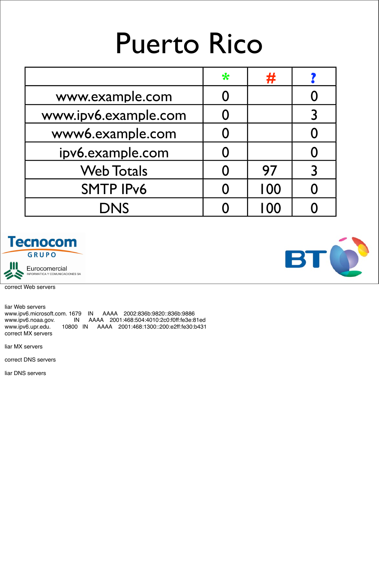## Puerto Rico

|                      | $\ast$ | 井   |  |
|----------------------|--------|-----|--|
| www.example.com      |        |     |  |
| www.ipv6.example.com |        |     |  |
| www6.example.com     |        |     |  |
| ipv6.example.com     |        |     |  |
| <b>Web Totals</b>    |        | 97  |  |
| <b>SMTP IPv6</b>     |        | 100 |  |
| <b>DNS</b>           |        | 100 |  |





correct Web servers

liar Web servers www.ipv6.microsoft.com. 1679 IN AAAA 2002:836b:9820::836b:9886 www.ipv6.noaa.gov. IN AAAA 2001:468:504:4010:2c0:f0ff:fe3e:81ed www.ipv6.upr.edu. 10800 IN AAAA 2001:468:1300::200:e2ff:fe30:b431 correct MX servers

liar MX servers

correct DNS servers

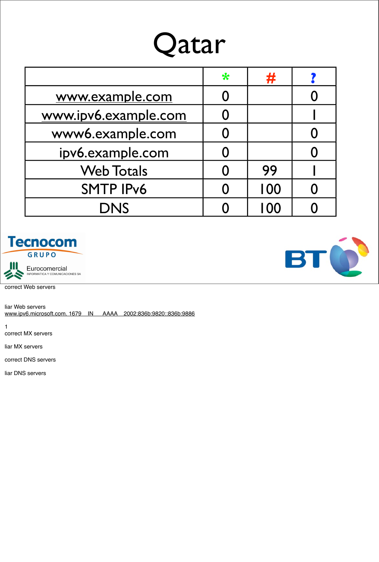#### Qatar

|                      | $\ast$ | 井    |  |
|----------------------|--------|------|--|
| www.example.com      |        |      |  |
| www.ipv6.example.com |        |      |  |
| www6.example.com     |        |      |  |
| ipv6.example.com     |        |      |  |
| <b>Web Totals</b>    | 0      | 99   |  |
| <b>SMTP IPv6</b>     |        | 100  |  |
| <b>DNS</b>           |        | I 00 |  |





correct Web servers

liar Web servers www.ipv6.microsoft.com. 1679 IN AAAA 2002:836b:9820::836b:9886

1 correct MX servers

liar MX servers

correct DNS servers

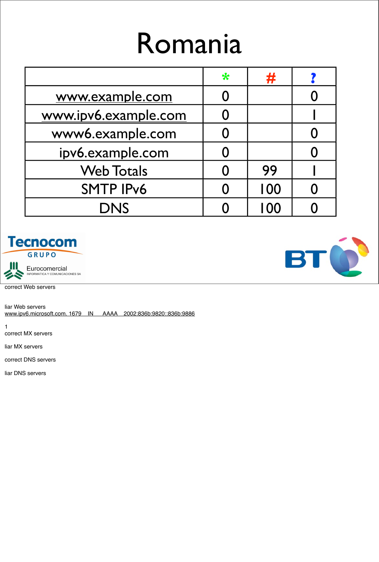#### Romania

|                      | $\ast$ | 开    |  |
|----------------------|--------|------|--|
| www.example.com      |        |      |  |
| www.ipv6.example.com |        |      |  |
| www6.example.com     |        |      |  |
| ipv6.example.com     |        |      |  |
| <b>Web Totals</b>    |        | 99   |  |
| <b>SMTP IPv6</b>     |        | 100  |  |
| <b>DNS</b>           |        | I OO |  |





correct Web servers

liar Web servers www.ipv6.microsoft.com. 1679 IN AAAA 2002:836b:9820::836b:9886

1 correct MX servers

liar MX servers

correct DNS servers

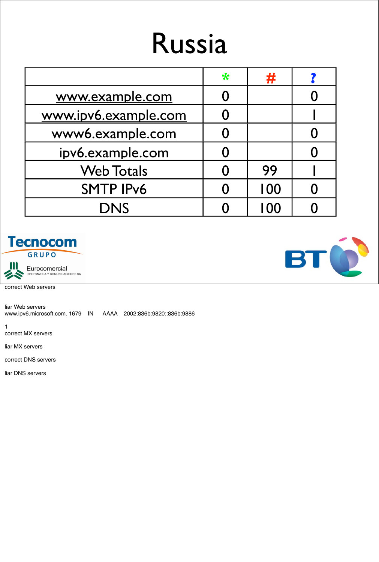#### Russia

|                      | $\ast$ | #    |  |
|----------------------|--------|------|--|
| www.example.com      |        |      |  |
| www.ipv6.example.com |        |      |  |
| www6.example.com     |        |      |  |
| ipv6.example.com     |        |      |  |
| <b>Web Totals</b>    |        | 99   |  |
| <b>SMTP IPv6</b>     |        | 100  |  |
| <b>DNS</b>           |        | I 00 |  |





correct Web servers

liar Web servers www.ipv6.microsoft.com. 1679 IN AAAA 2002:836b:9820::836b:9886

1 correct MX servers

liar MX servers

correct DNS servers

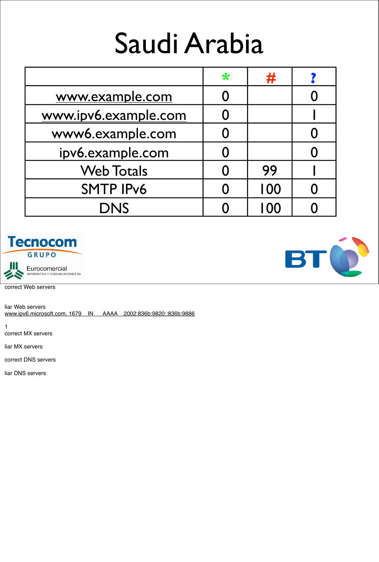## Saudi Arabia

|                      | ₩ | 77   |  |
|----------------------|---|------|--|
| www.example.com      |   |      |  |
| www.ipv6.example.com |   |      |  |
| www6.example.com     |   |      |  |
| ipv6.example.com     |   |      |  |
| <b>Web Totals</b>    |   | 99   |  |
| <b>SMTP IPv6</b>     |   | 100  |  |
| <b>DNS</b>           |   | I 00 |  |





correct Web servers

liar Web servers www.ipv6.microsoft.com. 1679 IN AAAA 2002:836b:9820::836b:9886

1 correct MX servers

liar MX servers

correct DNS servers

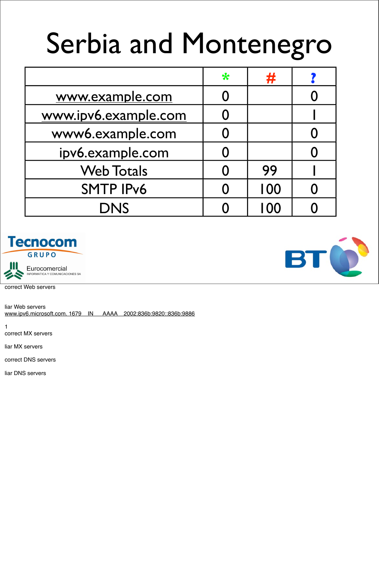# Serbia and Montenegro

|                      | $\ast$ | #    |  |
|----------------------|--------|------|--|
| www.example.com      |        |      |  |
| www.ipv6.example.com |        |      |  |
| www6.example.com     |        |      |  |
| ipv6.example.com     |        |      |  |
| <b>Web Totals</b>    |        | 99   |  |
| <b>SMTP IPv6</b>     |        | 100  |  |
| <b>DNS</b>           |        | I 00 |  |





correct Web servers

liar Web servers www.ipv6.microsoft.com. 1679 IN AAAA 2002:836b:9820::836b:9886

1 correct MX servers

liar MX servers

correct DNS servers

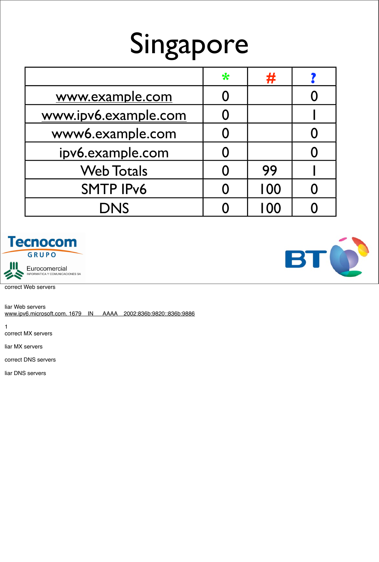## Singapore

|                      | ₩ | #    |  |
|----------------------|---|------|--|
| www.example.com      | 0 |      |  |
| www.ipv6.example.com |   |      |  |
| www6.example.com     |   |      |  |
| ipv6.example.com     | 0 |      |  |
| <b>Web Totals</b>    | 0 | 99   |  |
| <b>SMTP IPv6</b>     |   | 100  |  |
| <b>DNS</b>           |   | I 00 |  |





correct Web servers

liar Web servers www.ipv6.microsoft.com. 1679 IN AAAA 2002:836b:9820::836b:9886

1 correct MX servers

liar MX servers

correct DNS servers

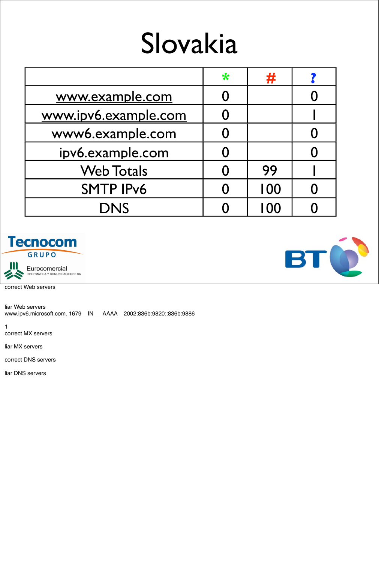#### Slovakia

|                      | $\ast$ | Ŧ    |  |
|----------------------|--------|------|--|
| www.example.com      |        |      |  |
| www.ipv6.example.com |        |      |  |
| www6.example.com     |        |      |  |
| ipv6.example.com     |        |      |  |
| <b>Web Totals</b>    |        | 99   |  |
| <b>SMTP IPv6</b>     |        | 100  |  |
| <b>DNS</b>           |        | I OO |  |





correct Web servers

liar Web servers www.ipv6.microsoft.com. 1679 IN AAAA 2002:836b:9820::836b:9886

1 correct MX servers

liar MX servers

correct DNS servers

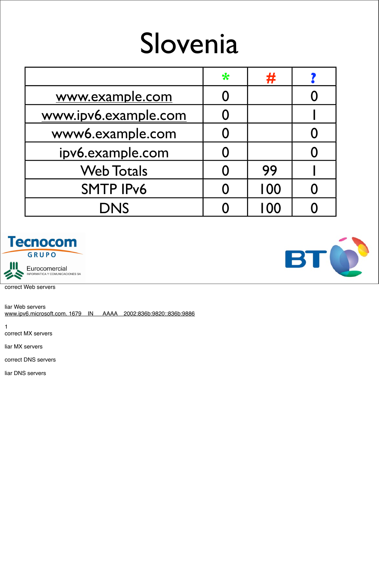#### Slovenia

|                      | $\ast$ | 开    |  |
|----------------------|--------|------|--|
| www.example.com      |        |      |  |
| www.ipv6.example.com |        |      |  |
| www6.example.com     |        |      |  |
| ipv6.example.com     |        |      |  |
| <b>Web Totals</b>    |        | 99   |  |
| <b>SMTP IPv6</b>     |        | 100  |  |
| <b>DNS</b>           |        | I OO |  |





correct Web servers

liar Web servers www.ipv6.microsoft.com. 1679 IN AAAA 2002:836b:9820::836b:9886

1 correct MX servers

liar MX servers

correct DNS servers

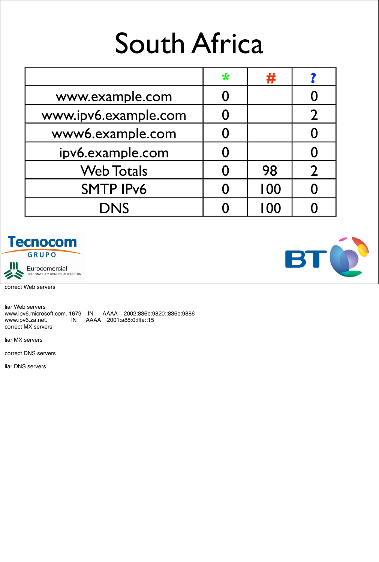## South Africa

|                      | $\ast$ | 并   |  |
|----------------------|--------|-----|--|
| www.example.com      |        |     |  |
| www.ipv6.example.com |        |     |  |
| www6.example.com     |        |     |  |
| ipv6.example.com     |        |     |  |
| <b>Web Totals</b>    |        | 98  |  |
| <b>SMTP IPv6</b>     |        | 100 |  |
| <b>DNS</b>           |        | 100 |  |





correct Web servers

liar Web servers www.ipv6.microsoft.com. 1679 IN AAAA 2002:836b:9820::836b:9886 www.ipv6.za.net. IN AAAA 2001:a88:0:fffe::15 correct MX servers

liar MX servers

correct DNS servers

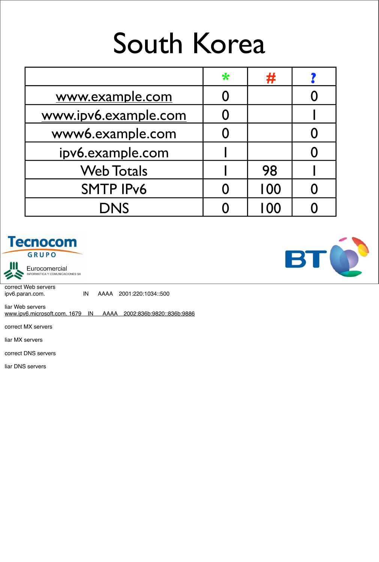## South Korea

|                      | $\ast$ | 井   |  |
|----------------------|--------|-----|--|
| www.example.com      |        |     |  |
| www.ipv6.example.com |        |     |  |
| www6.example.com     |        |     |  |
| ipv6.example.com     |        |     |  |
| <b>Web Totals</b>    |        | 98  |  |
| <b>SMTP IPv6</b>     |        | 100 |  |
| <b>DNS</b>           |        | 100 |  |





Eurocomercial<br>INFORMATICA Y COMUNICACIONES SA

correct Web servers

ipv6.paran.com. IN AAAA 2001:220:1034::500

liar Web servers www.ipv6.microsoft.com. 1679 IN AAAA 2002:836b:9820::836b:9886

correct MX servers

liar MX servers

correct DNS servers

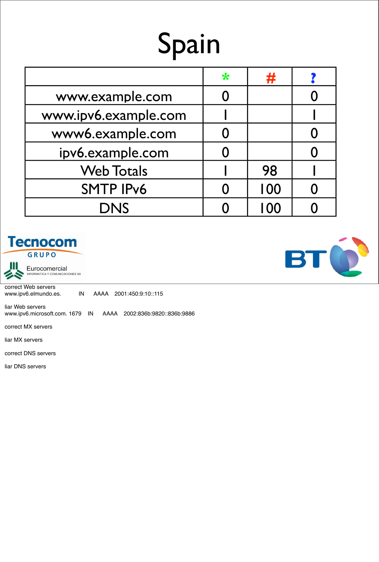# Spain

|                      | $\ast$ | #   |  |
|----------------------|--------|-----|--|
| www.example.com      |        |     |  |
| www.ipv6.example.com |        |     |  |
| www6.example.com     |        |     |  |
| ipv6.example.com     |        |     |  |
| <b>Web Totals</b>    |        | 98  |  |
| <b>SMTP IPv6</b>     |        | 100 |  |
| <b>DNS</b>           |        | 100 |  |
|                      |        |     |  |





Eurocomercial<br>INFORMATICA Y COMUNICACIONES SA

correct Web servers www.ipv6.elmundo.es. IN AAAA 2001:450:9:10::115

liar Web servers www.ipv6.microsoft.com. 1679 IN AAAA 2002:836b:9820::836b:9886

correct MX servers

liar MX servers

correct DNS servers

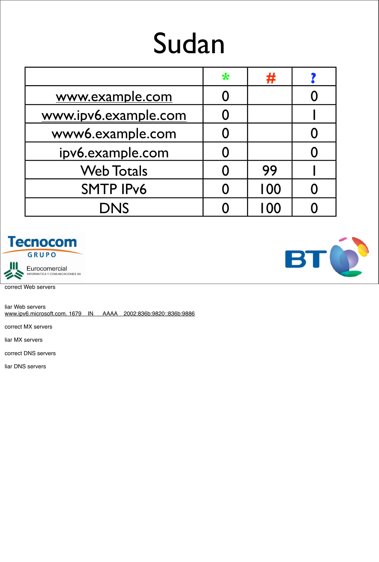## Sudan

|                      | $\ast$ | #    |  |
|----------------------|--------|------|--|
| www.example.com      |        |      |  |
| www.ipv6.example.com |        |      |  |
| www6.example.com     |        |      |  |
| ipv6.example.com     |        |      |  |
| <b>Web Totals</b>    |        | 99   |  |
| <b>SMTP IPv6</b>     |        | 100  |  |
| <b>DNS</b>           |        | I 00 |  |





correct Web servers

liar Web servers www.ipv6.microsoft.com. 1679 IN AAAA 2002:836b:9820::836b:9886

correct MX servers

liar MX servers

correct DNS servers

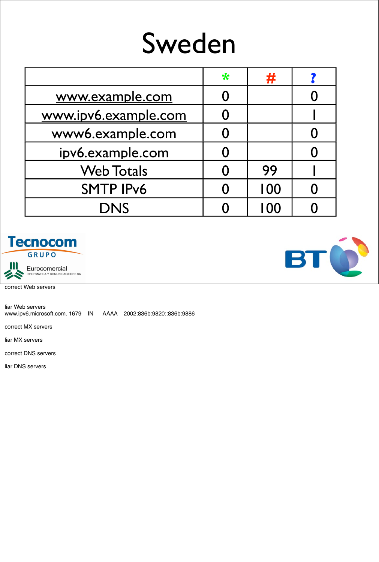#### Sweden

|                      | $\ast$ | 开    |  |
|----------------------|--------|------|--|
| www.example.com      |        |      |  |
| www.ipv6.example.com |        |      |  |
| www6.example.com     |        |      |  |
| ipv6.example.com     |        |      |  |
| <b>Web Totals</b>    |        | 99   |  |
| <b>SMTP IPv6</b>     |        | 100  |  |
| <b>DNS</b>           |        | I 00 |  |





correct Web servers

liar Web servers www.ipv6.microsoft.com. 1679 IN AAAA 2002:836b:9820::836b:9886

correct MX servers

liar MX servers

correct DNS servers

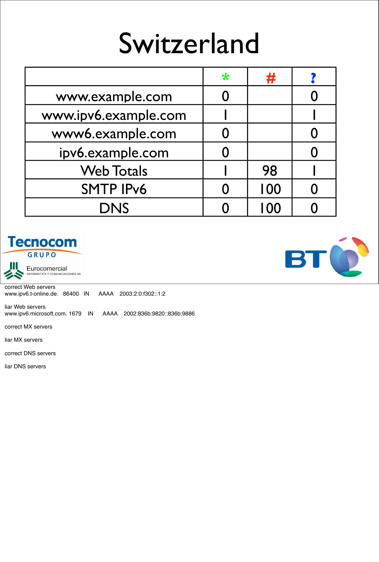#### Switzerland

|                      | $\ast$ | #    |  |
|----------------------|--------|------|--|
| www.example.com      |        |      |  |
| www.ipv6.example.com |        |      |  |
| www6.example.com     |        |      |  |
| ipv6.example.com     |        |      |  |
| <b>Web Totals</b>    |        | 98   |  |
| <b>SMTP IPv6</b>     |        | 100  |  |
| <b>DNS</b>           |        | I 00 |  |





Eurocomercial<br>INFORMATICA Y COMUNICACIONES SA

correct Web servers www.ipv6.t-online.de. 86400 IN AAAA 2003:2:0:f302::1:2

liar Web servers www.ipv6.microsoft.com. 1679 IN AAAA 2002:836b:9820::836b:9886

correct MX servers

liar MX servers

correct DNS servers

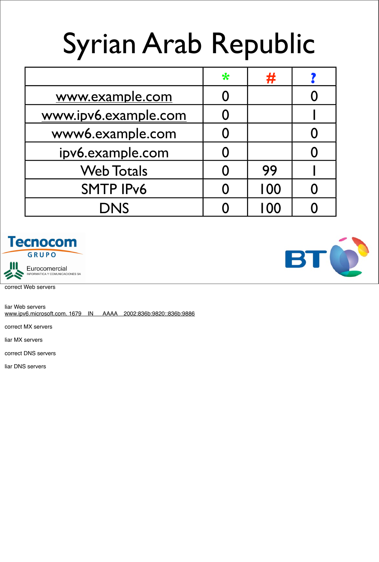# Syrian Arab Republic

|                      | $\ast$ | #   |  |
|----------------------|--------|-----|--|
| www.example.com      |        |     |  |
| www.ipv6.example.com |        |     |  |
| www6.example.com     |        |     |  |
| ipv6.example.com     |        |     |  |
| <b>Web Totals</b>    |        | 99  |  |
| <b>SMTP IPv6</b>     |        | 100 |  |
| <b>DNS</b>           |        | 00  |  |





correct Web servers

liar Web servers www.ipv6.microsoft.com. 1679 IN AAAA 2002:836b:9820::836b:9886

correct MX servers

liar MX servers

correct DNS servers

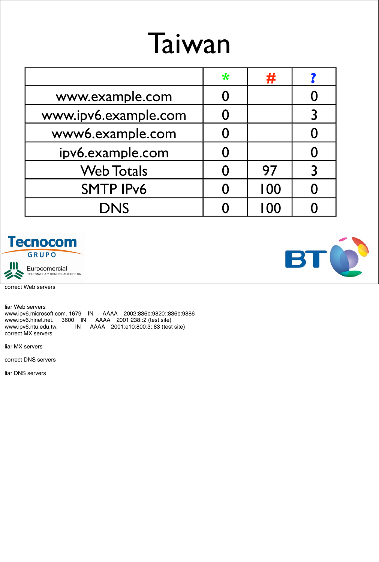#### Taiwan

|                      | $\ast$ | #    |  |
|----------------------|--------|------|--|
| www.example.com      |        |      |  |
| www.ipv6.example.com |        |      |  |
| www6.example.com     |        |      |  |
| ipv6.example.com     |        |      |  |
| <b>Web Totals</b>    |        | 97   |  |
| <b>SMTP IPv6</b>     |        | 100  |  |
| <b>DNS</b>           |        | I 00 |  |





correct Web servers

liar Web servers www.ipv6.microsoft.com. 1679 IN AAAA 2002:836b:9820::836b:9886 www.ipv6.hinet.net. 3600 IN AAAA 2001:238::2 (test site) www.ipv6.ntu.edu.tw. IN AAAA 2001:e10:800:3::83 (test site) correct MX servers

liar MX servers

correct DNS servers

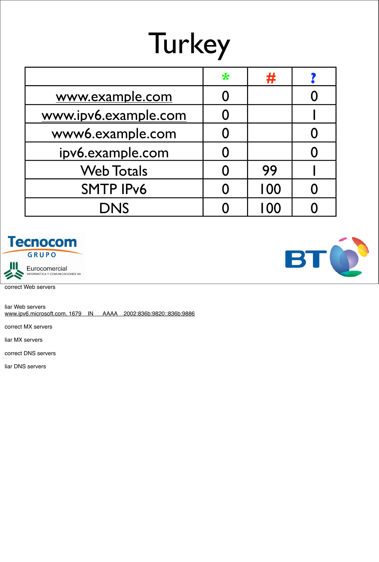# **Turkey**

|                      | $\ast$ | #    |  |
|----------------------|--------|------|--|
| www.example.com      |        |      |  |
| www.ipv6.example.com |        |      |  |
| www6.example.com     |        |      |  |
| ipv6.example.com     |        |      |  |
| <b>Web Totals</b>    |        | 99   |  |
| <b>SMTP IPv6</b>     |        | 100  |  |
| <b>DNS</b>           |        | I 00 |  |





correct Web servers

liar Web servers www.ipv6.microsoft.com. 1679 IN AAAA 2002:836b:9820::836b:9886

correct MX servers

liar MX servers

correct DNS servers

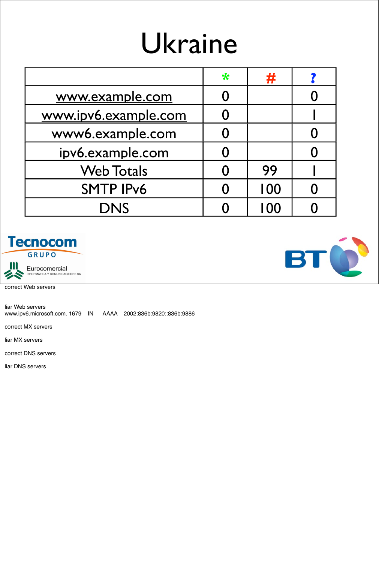## Ukraine

|                      | $\ast$ | #    |  |
|----------------------|--------|------|--|
| www.example.com      |        |      |  |
| www.ipv6.example.com |        |      |  |
| www6.example.com     |        |      |  |
| ipv6.example.com     |        |      |  |
| <b>Web Totals</b>    |        | 99   |  |
| <b>SMTP IPv6</b>     |        | 100  |  |
| <b>DNS</b>           |        | I 00 |  |





correct Web servers

liar Web servers www.ipv6.microsoft.com. 1679 IN AAAA 2002:836b:9820::836b:9886

correct MX servers

liar MX servers

correct DNS servers

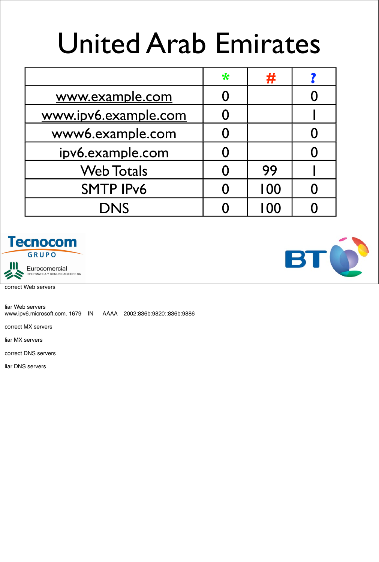## United Arab Emirates

|                      | $\ast$ | #   |  |
|----------------------|--------|-----|--|
| www.example.com      |        |     |  |
| www.ipv6.example.com |        |     |  |
| www6.example.com     |        |     |  |
| ipv6.example.com     |        |     |  |
| <b>Web Totals</b>    |        | 99  |  |
| <b>SMTP IPv6</b>     |        | 100 |  |
| <b>DNS</b>           |        | 100 |  |



Eurocomercial<br>INFORMATICA Y COMUNICACIONES SA

correct Web servers

liar Web servers www.ipv6.microsoft.com. 1679 IN AAAA 2002:836b:9820::836b:9886

correct MX servers

liar MX servers

correct DNS servers

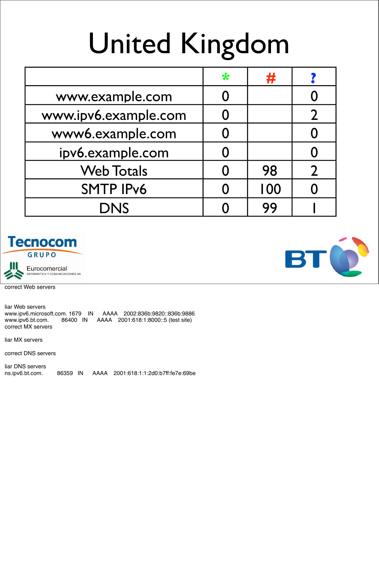# United Kingdom

|                      | $\ast$ | #   |  |
|----------------------|--------|-----|--|
| www.example.com      | O      |     |  |
| www.ipv6.example.com |        |     |  |
| www6.example.com     | 0      |     |  |
| ipv6.example.com     |        |     |  |
| <b>Web Totals</b>    |        | 98  |  |
| <b>SMTP IPv6</b>     |        | 100 |  |
| <b>DNS</b>           |        | 99  |  |





correct Web servers

liar Web servers www.ipv6.microsoft.com. 1679 IN AAAA 2002:836b:9820::836b:9886 www.ipv6.bt.com. 86400 IN AAAA 2001:618:1:8000::5 (test site) correct MX servers

liar MX servers

correct DNS servers

liar DNS servers ns.ipv6.bt.com. 86359 IN AAAA 2001:618:1:1:2d0:b7ff:fe7e:69be

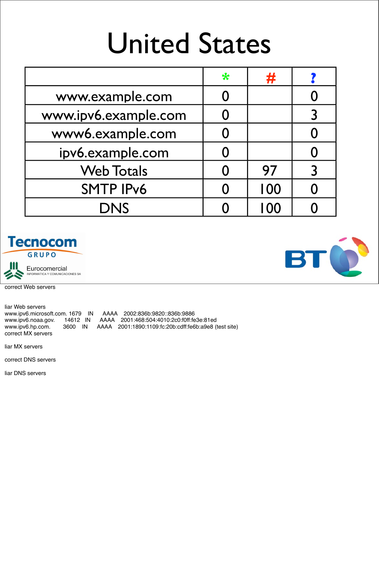## United States

|                      | ₩ | #    |  |
|----------------------|---|------|--|
| www.example.com      |   |      |  |
| www.ipv6.example.com |   |      |  |
| www6.example.com     |   |      |  |
| ipv6.example.com     |   |      |  |
| <b>Web Totals</b>    |   | 97   |  |
| <b>SMTP IPv6</b>     |   | 100  |  |
| <b>DNS</b>           |   | I 00 |  |





Eurocomercial<br>INFORMATICA Y COMUNICACIONES SA

correct Web servers

liar Web servers www.ipv6.microsoft.com. 1679 IN AAAA 2002:836b:9820::836b:9886 www.ipv6.noaa.gov. 14612 IN AAAA 2001:468:504:4010:2c0:f0ff:fe3e:81ed www.ipv6.hp.com. 3600 IN AAAA 2001:1890:1109:fc:20b:cdff:fe6b:a9e8 (test site) correct MX servers

liar MX servers

correct DNS servers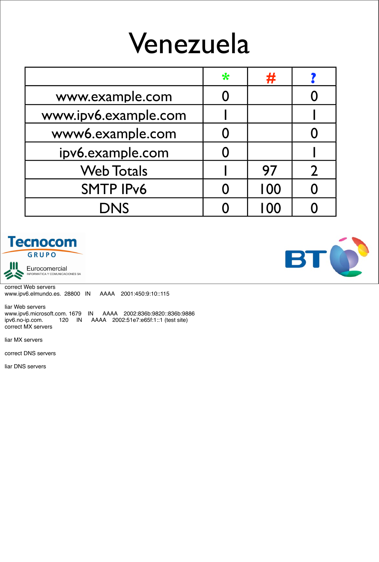#### Venezuela

|                      | $\ast$ | 井   |  |
|----------------------|--------|-----|--|
| www.example.com      |        |     |  |
| www.ipv6.example.com |        |     |  |
| www6.example.com     |        |     |  |
| ipv6.example.com     |        |     |  |
| <b>Web Totals</b>    |        | 97  |  |
| <b>SMTP IPv6</b>     |        | 100 |  |
| <b>DNS</b>           |        | 100 |  |





Eurocomercial<br>INFORMATICA Y COMUNICACIONES SA

correct Web servers www.ipv6.elmundo.es. 28800 IN AAAA 2001:450:9:10::115

liar Web servers www.ipv6.microsoft.com. 1679 IN AAAA 2002:836b:9820::836b:9886<br>ipv6.no-ip.com. 120 IN AAAA 2002:51e7:e65f:1::1 (test site) ipv6.no-ip.com. 120 IN AAAA 2002:51e7:e65f:1::1 (test site) correct MX servers

liar MX servers

correct DNS servers

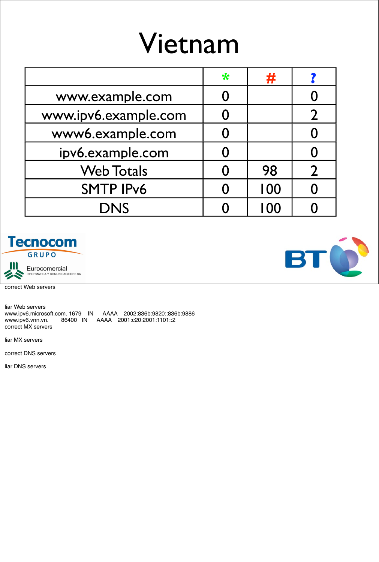## Vietnam

|                      | $\ast$ | 井   |  |
|----------------------|--------|-----|--|
| www.example.com      |        |     |  |
| www.ipv6.example.com |        |     |  |
| www6.example.com     |        |     |  |
| ipv6.example.com     |        |     |  |
| <b>Web Totals</b>    |        | 98  |  |
| <b>SMTP IPv6</b>     |        | 100 |  |
| DNS                  |        | 100 |  |





correct Web servers

liar Web servers www.ipv6.microsoft.com. 1679 IN AAAA 2002:836b:9820::836b:9886 www.ipv6.vnn.vn. 86400 IN AAAA 2001:c20:2001:1101::2 correct MX servers

liar MX servers

correct DNS servers

liar DNS servers